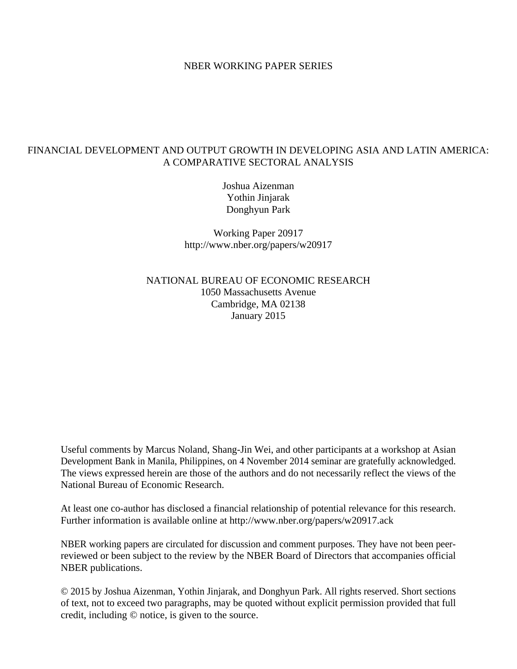#### NBER WORKING PAPER SERIES

## FINANCIAL DEVELOPMENT AND OUTPUT GROWTH IN DEVELOPING ASIA AND LATIN AMERICA: A COMPARATIVE SECTORAL ANALYSIS

Joshua Aizenman Yothin Jinjarak Donghyun Park

Working Paper 20917 http://www.nber.org/papers/w20917

NATIONAL BUREAU OF ECONOMIC RESEARCH 1050 Massachusetts Avenue Cambridge, MA 02138 January 2015

Useful comments by Marcus Noland, Shang-Jin Wei, and other participants at a workshop at Asian Development Bank in Manila, Philippines, on 4 November 2014 seminar are gratefully acknowledged. The views expressed herein are those of the authors and do not necessarily reflect the views of the National Bureau of Economic Research.

At least one co-author has disclosed a financial relationship of potential relevance for this research. Further information is available online at http://www.nber.org/papers/w20917.ack

NBER working papers are circulated for discussion and comment purposes. They have not been peerreviewed or been subject to the review by the NBER Board of Directors that accompanies official NBER publications.

© 2015 by Joshua Aizenman, Yothin Jinjarak, and Donghyun Park. All rights reserved. Short sections of text, not to exceed two paragraphs, may be quoted without explicit permission provided that full credit, including © notice, is given to the source.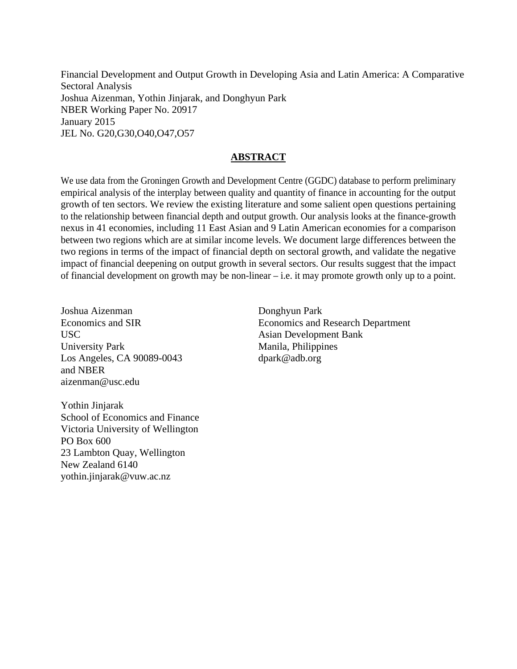Financial Development and Output Growth in Developing Asia and Latin America: A Comparative Sectoral Analysis Joshua Aizenman, Yothin Jinjarak, and Donghyun Park NBER Working Paper No. 20917 January 2015 JEL No. G20,G30,O40,O47,O57

## **ABSTRACT**

We use data from the Groningen Growth and Development Centre (GGDC) database to perform preliminary empirical analysis of the interplay between quality and quantity of finance in accounting for the output growth of ten sectors. We review the existing literature and some salient open questions pertaining to the relationship between financial depth and output growth. Our analysis looks at the finance-growth nexus in 41 economies, including 11 East Asian and 9 Latin American economies for a comparison between two regions which are at similar income levels. We document large differences between the two regions in terms of the impact of financial depth on sectoral growth, and validate the negative impact of financial deepening on output growth in several sectors. Our results suggest that the impact of financial development on growth may be non-linear – i.e. it may promote growth only up to a point.

Joshua Aizenman Economics and SIR USC University Park Los Angeles, CA 90089-0043 and NBER aizenman@usc.edu

Donghyun Park Economics and Research Department Asian Development Bank Manila, Philippines dpark@adb.org

Yothin Jinjarak School of Economics and Finance Victoria University of Wellington PO Box 600 23 Lambton Quay, Wellington New Zealand 6140 yothin.jinjarak@vuw.ac.nz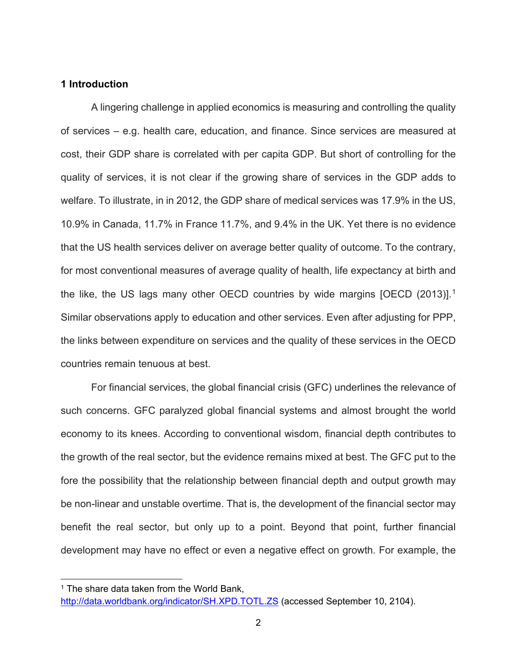#### **1 Introduction**

A lingering challenge in applied economics is measuring and controlling the quality of services – e.g. health care, education, and finance. Since services are measured at cost, their GDP share is correlated with per capita GDP. But short of controlling for the quality of services, it is not clear if the growing share of services in the GDP adds to welfare. To illustrate, in in 2012, the GDP share of medical services was 17.9% in the US, 10.9% in Canada, 11.7% in France 11.7%, and 9.4% in the UK. Yet there is no evidence that the US health services deliver on average better quality of outcome. To the contrary, for most conventional measures of average quality of health, life expectancy at birth and the like, the US lags many other OECD countries by wide margins [OECD (2013)].<sup>1</sup> Similar observations apply to education and other services. Even after adjusting for PPP, the links between expenditure on services and the quality of these services in the OECD countries remain tenuous at best.

For financial services, the global financial crisis (GFC) underlines the relevance of such concerns. GFC paralyzed global financial systems and almost brought the world economy to its knees. According to conventional wisdom, financial depth contributes to the growth of the real sector, but the evidence remains mixed at best. The GFC put to the fore the possibility that the relationship between financial depth and output growth may be non-linear and unstable overtime. That is, the development of the financial sector may benefit the real sector, but only up to a point. Beyond that point, further financial development may have no effect or even a negative effect on growth. For example, the

 $1$  The share data taken from the World Bank,

http://data.worldbank.org/indicator/SH.XPD.TOTL.ZS (accessed September 10, 2104).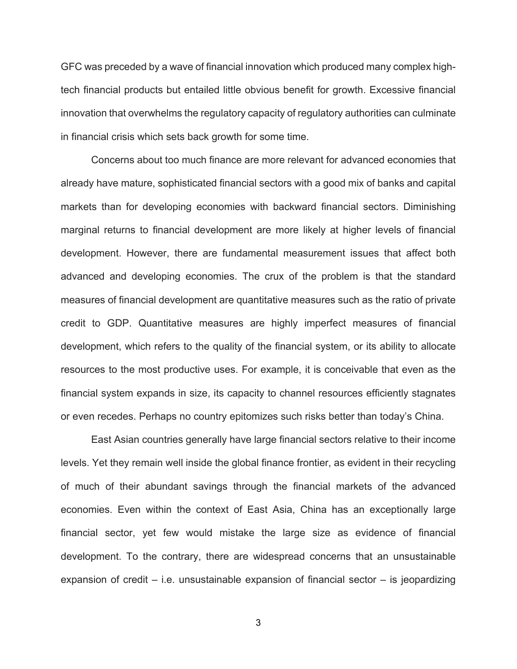GFC was preceded by a wave of financial innovation which produced many complex hightech financial products but entailed little obvious benefit for growth. Excessive financial innovation that overwhelms the regulatory capacity of regulatory authorities can culminate in financial crisis which sets back growth for some time.

Concerns about too much finance are more relevant for advanced economies that already have mature, sophisticated financial sectors with a good mix of banks and capital markets than for developing economies with backward financial sectors. Diminishing marginal returns to financial development are more likely at higher levels of financial development. However, there are fundamental measurement issues that affect both advanced and developing economies. The crux of the problem is that the standard measures of financial development are quantitative measures such as the ratio of private credit to GDP. Quantitative measures are highly imperfect measures of financial development, which refers to the quality of the financial system, or its ability to allocate resources to the most productive uses. For example, it is conceivable that even as the financial system expands in size, its capacity to channel resources efficiently stagnates or even recedes. Perhaps no country epitomizes such risks better than today's China.

East Asian countries generally have large financial sectors relative to their income levels. Yet they remain well inside the global finance frontier, as evident in their recycling of much of their abundant savings through the financial markets of the advanced economies. Even within the context of East Asia, China has an exceptionally large financial sector, yet few would mistake the large size as evidence of financial development. To the contrary, there are widespread concerns that an unsustainable expansion of credit – i.e. unsustainable expansion of financial sector – is jeopardizing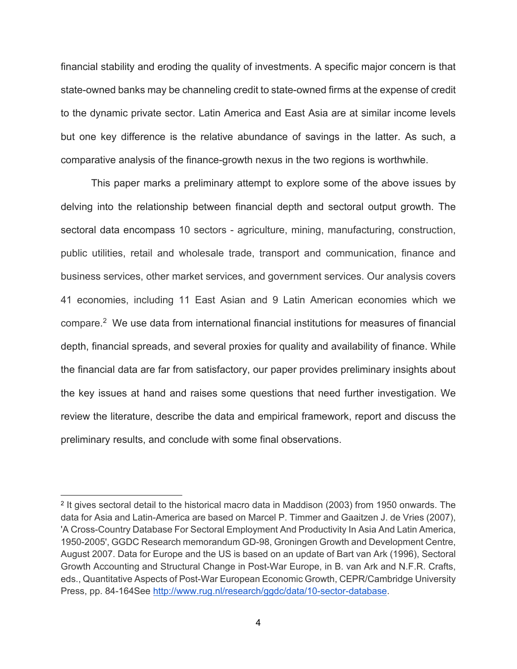financial stability and eroding the quality of investments. A specific major concern is that state-owned banks may be channeling credit to state-owned firms at the expense of credit to the dynamic private sector. Latin America and East Asia are at similar income levels but one key difference is the relative abundance of savings in the latter. As such, a comparative analysis of the finance-growth nexus in the two regions is worthwhile.

This paper marks a preliminary attempt to explore some of the above issues by delving into the relationship between financial depth and sectoral output growth. The sectoral data encompass 10 sectors - agriculture, mining, manufacturing, construction, public utilities, retail and wholesale trade, transport and communication, finance and business services, other market services, and government services. Our analysis covers 41 economies, including 11 East Asian and 9 Latin American economies which we compare.2 We use data from international financial institutions for measures of financial depth, financial spreads, and several proxies for quality and availability of finance. While the financial data are far from satisfactory, our paper provides preliminary insights about the key issues at hand and raises some questions that need further investigation. We review the literature, describe the data and empirical framework, report and discuss the preliminary results, and conclude with some final observations.

<sup>2</sup> It gives sectoral detail to the historical macro data in Maddison (2003) from 1950 onwards. The data for Asia and Latin-America are based on Marcel P. Timmer and Gaaitzen J. de Vries (2007), 'A Cross-Country Database For Sectoral Employment And Productivity In Asia And Latin America, 1950-2005', GGDC Research memorandum GD-98, Groningen Growth and Development Centre, August 2007. Data for Europe and the US is based on an update of Bart van Ark (1996), Sectoral Growth Accounting and Structural Change in Post-War Europe, in B. van Ark and N.F.R. Crafts, eds., Quantitative Aspects of Post-War European Economic Growth, CEPR/Cambridge University Press, pp. 84-164See http://www.rug.nl/research/ggdc/data/10-sector-database.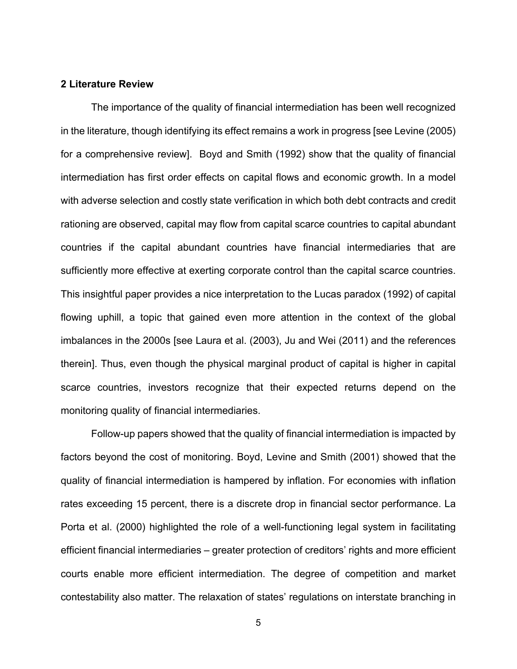#### **2 Literature Review**

 The importance of the quality of financial intermediation has been well recognized in the literature, though identifying its effect remains a work in progress [see Levine (2005) for a comprehensive review]. Boyd and Smith (1992) show that the quality of financial intermediation has first order effects on capital flows and economic growth. In a model with adverse selection and costly state verification in which both debt contracts and credit rationing are observed, capital may flow from capital scarce countries to capital abundant countries if the capital abundant countries have financial intermediaries that are sufficiently more effective at exerting corporate control than the capital scarce countries. This insightful paper provides a nice interpretation to the Lucas paradox (1992) of capital flowing uphill, a topic that gained even more attention in the context of the global imbalances in the 2000s [see Laura et al. (2003), Ju and Wei (2011) and the references therein]. Thus, even though the physical marginal product of capital is higher in capital scarce countries, investors recognize that their expected returns depend on the monitoring quality of financial intermediaries.

Follow-up papers showed that the quality of financial intermediation is impacted by factors beyond the cost of monitoring. Boyd, Levine and Smith (2001) showed that the quality of financial intermediation is hampered by inflation. For economies with inflation rates exceeding 15 percent, there is a discrete drop in financial sector performance. La Porta et al. (2000) highlighted the role of a well-functioning legal system in facilitating efficient financial intermediaries – greater protection of creditors' rights and more efficient courts enable more efficient intermediation. The degree of competition and market contestability also matter. The relaxation of states' regulations on interstate branching in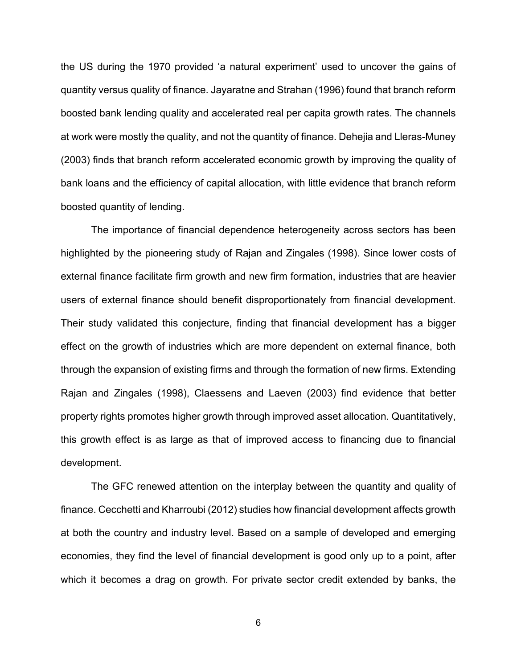the US during the 1970 provided 'a natural experiment' used to uncover the gains of quantity versus quality of finance. Jayaratne and Strahan (1996) found that branch reform boosted bank lending quality and accelerated real per capita growth rates. The channels at work were mostly the quality, and not the quantity of finance. Dehejia and Lleras-Muney (2003) finds that branch reform accelerated economic growth by improving the quality of bank loans and the efficiency of capital allocation, with little evidence that branch reform boosted quantity of lending.

The importance of financial dependence heterogeneity across sectors has been highlighted by the pioneering study of Rajan and Zingales (1998). Since lower costs of external finance facilitate firm growth and new firm formation, industries that are heavier users of external finance should benefit disproportionately from financial development. Their study validated this conjecture, finding that financial development has a bigger effect on the growth of industries which are more dependent on external finance, both through the expansion of existing firms and through the formation of new firms. Extending Rajan and Zingales (1998), Claessens and Laeven (2003) find evidence that better property rights promotes higher growth through improved asset allocation. Quantitatively, this growth effect is as large as that of improved access to financing due to financial development.

 The GFC renewed attention on the interplay between the quantity and quality of finance. Cecchetti and Kharroubi (2012) studies how financial development affects growth at both the country and industry level. Based on a sample of developed and emerging economies, they find the level of financial development is good only up to a point, after which it becomes a drag on growth. For private sector credit extended by banks, the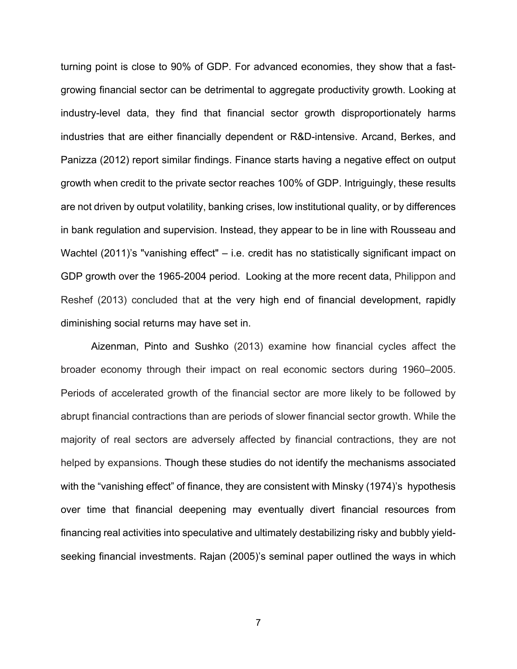turning point is close to 90% of GDP. For advanced economies, they show that a fastgrowing financial sector can be detrimental to aggregate productivity growth. Looking at industry-level data, they find that financial sector growth disproportionately harms industries that are either financially dependent or R&D-intensive. Arcand, Berkes, and Panizza (2012) report similar findings. Finance starts having a negative effect on output growth when credit to the private sector reaches 100% of GDP. Intriguingly, these results are not driven by output volatility, banking crises, low institutional quality, or by differences in bank regulation and supervision. Instead, they appear to be in line with Rousseau and Wachtel (2011)'s "vanishing effect" – i.e. credit has no statistically significant impact on GDP growth over the 1965-2004 period. Looking at the more recent data, Philippon and Reshef (2013) concluded that at the very high end of financial development, rapidly diminishing social returns may have set in.

Aizenman, Pinto and Sushko (2013) examine how financial cycles affect the broader economy through their impact on real economic sectors during 1960–2005. Periods of accelerated growth of the financial sector are more likely to be followed by abrupt financial contractions than are periods of slower financial sector growth. While the majority of real sectors are adversely affected by financial contractions, they are not helped by expansions. Though these studies do not identify the mechanisms associated with the "vanishing effect" of finance, they are consistent with Minsky (1974)'s hypothesis over time that financial deepening may eventually divert financial resources from financing real activities into speculative and ultimately destabilizing risky and bubbly yieldseeking financial investments. Rajan (2005)'s seminal paper outlined the ways in which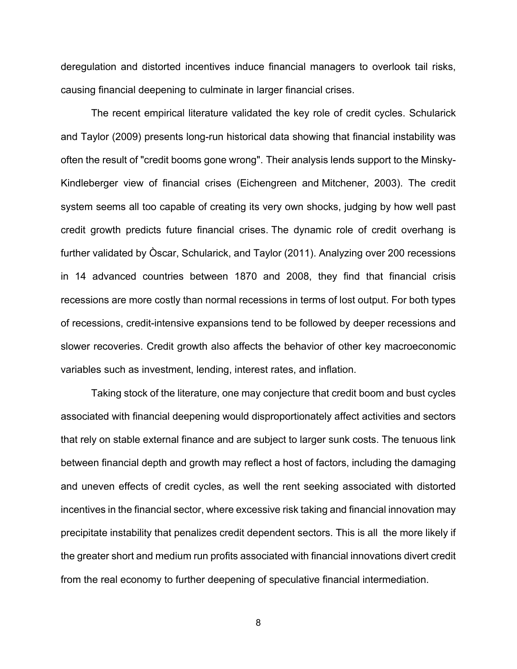deregulation and distorted incentives induce financial managers to overlook tail risks, causing financial deepening to culminate in larger financial crises.

The recent empirical literature validated the key role of credit cycles. Schularick and Taylor (2009) presents long-run historical data showing that financial instability was often the result of "credit booms gone wrong". Their analysis lends support to the Minsky-Kindleberger view of financial crises (Eichengreen and Mitchener, 2003). The credit system seems all too capable of creating its very own shocks, judging by how well past credit growth predicts future financial crises. The dynamic role of credit overhang is further validated by Òscar, Schularick, and Taylor (2011). Analyzing over 200 recessions in 14 advanced countries between 1870 and 2008, they find that financial crisis recessions are more costly than normal recessions in terms of lost output. For both types of recessions, credit-intensive expansions tend to be followed by deeper recessions and slower recoveries. Credit growth also affects the behavior of other key macroeconomic variables such as investment, lending, interest rates, and inflation.

Taking stock of the literature, one may conjecture that credit boom and bust cycles associated with financial deepening would disproportionately affect activities and sectors that rely on stable external finance and are subject to larger sunk costs. The tenuous link between financial depth and growth may reflect a host of factors, including the damaging and uneven effects of credit cycles, as well the rent seeking associated with distorted incentives in the financial sector, where excessive risk taking and financial innovation may precipitate instability that penalizes credit dependent sectors. This is all the more likely if the greater short and medium run profits associated with financial innovations divert credit from the real economy to further deepening of speculative financial intermediation.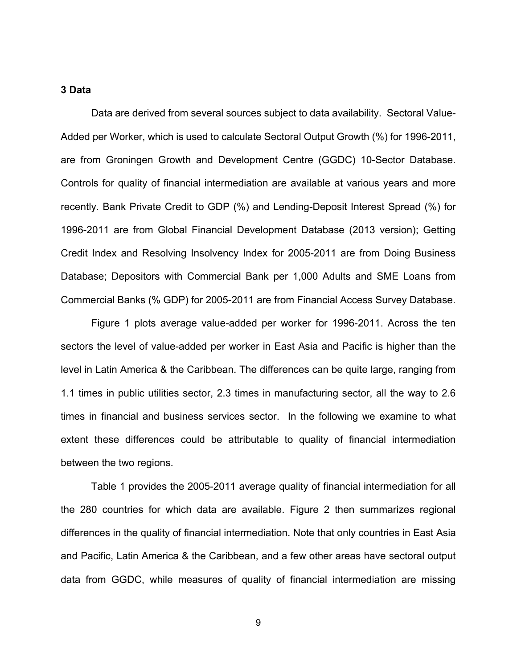#### **3 Data**

Data are derived from several sources subject to data availability. Sectoral Value-Added per Worker, which is used to calculate Sectoral Output Growth (%) for 1996-2011, are from Groningen Growth and Development Centre (GGDC) 10-Sector Database. Controls for quality of financial intermediation are available at various years and more recently. Bank Private Credit to GDP (%) and Lending-Deposit Interest Spread (%) for 1996-2011 are from Global Financial Development Database (2013 version); Getting Credit Index and Resolving Insolvency Index for 2005-2011 are from Doing Business Database; Depositors with Commercial Bank per 1,000 Adults and SME Loans from Commercial Banks (% GDP) for 2005-2011 are from Financial Access Survey Database.

 Figure 1 plots average value-added per worker for 1996-2011. Across the ten sectors the level of value-added per worker in East Asia and Pacific is higher than the level in Latin America & the Caribbean. The differences can be quite large, ranging from 1.1 times in public utilities sector, 2.3 times in manufacturing sector, all the way to 2.6 times in financial and business services sector. In the following we examine to what extent these differences could be attributable to quality of financial intermediation between the two regions.

 Table 1 provides the 2005-2011 average quality of financial intermediation for all the 280 countries for which data are available. Figure 2 then summarizes regional differences in the quality of financial intermediation. Note that only countries in East Asia and Pacific, Latin America & the Caribbean, and a few other areas have sectoral output data from GGDC, while measures of quality of financial intermediation are missing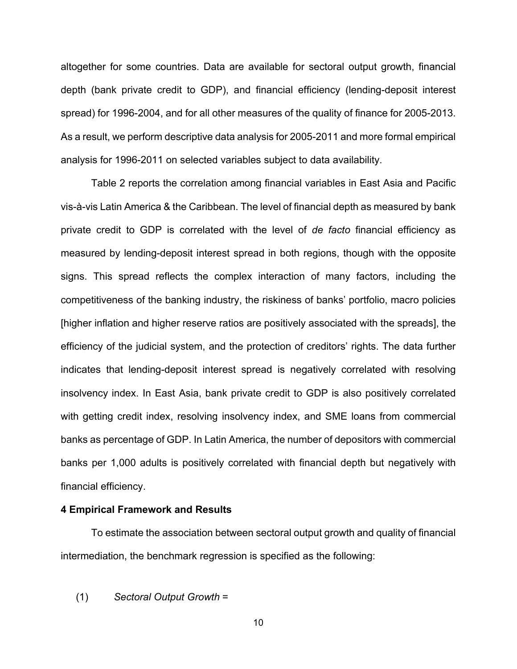altogether for some countries. Data are available for sectoral output growth, financial depth (bank private credit to GDP), and financial efficiency (lending-deposit interest spread) for 1996-2004, and for all other measures of the quality of finance for 2005-2013. As a result, we perform descriptive data analysis for 2005-2011 and more formal empirical analysis for 1996-2011 on selected variables subject to data availability.

Table 2 reports the correlation among financial variables in East Asia and Pacific vis-à-vis Latin America & the Caribbean. The level of financial depth as measured by bank private credit to GDP is correlated with the level of *de facto* financial efficiency as measured by lending-deposit interest spread in both regions, though with the opposite signs. This spread reflects the complex interaction of many factors, including the competitiveness of the banking industry, the riskiness of banks' portfolio, macro policies [higher inflation and higher reserve ratios are positively associated with the spreads], the efficiency of the judicial system, and the protection of creditors' rights. The data further indicates that lending-deposit interest spread is negatively correlated with resolving insolvency index. In East Asia, bank private credit to GDP is also positively correlated with getting credit index, resolving insolvency index, and SME loans from commercial banks as percentage of GDP. In Latin America, the number of depositors with commercial banks per 1,000 adults is positively correlated with financial depth but negatively with financial efficiency.

#### **4 Empirical Framework and Results**

To estimate the association between sectoral output growth and quality of financial intermediation, the benchmark regression is specified as the following:

(1) *Sectoral Output Growth* =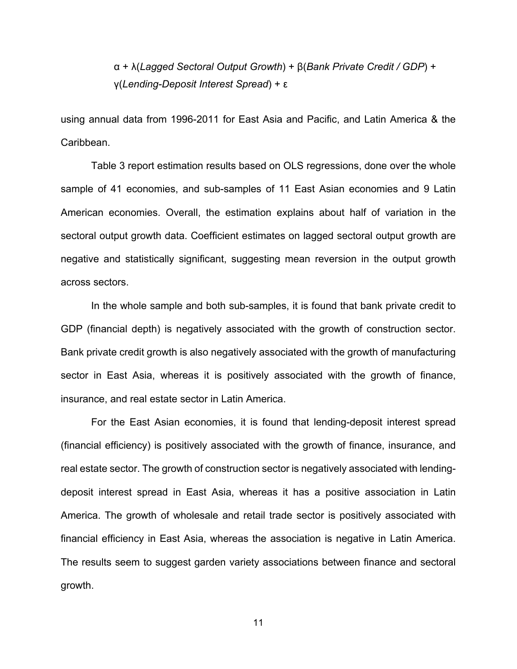α + λ(*Lagged Sectoral Output Growth*) + β(*Bank Private Credit / GDP*) + γ(*Lending-Deposit Interest Spread*) + ε

using annual data from 1996-2011 for East Asia and Pacific, and Latin America & the Caribbean.

 Table 3 report estimation results based on OLS regressions, done over the whole sample of 41 economies, and sub-samples of 11 East Asian economies and 9 Latin American economies. Overall, the estimation explains about half of variation in the sectoral output growth data. Coefficient estimates on lagged sectoral output growth are negative and statistically significant, suggesting mean reversion in the output growth across sectors.

 In the whole sample and both sub-samples, it is found that bank private credit to GDP (financial depth) is negatively associated with the growth of construction sector. Bank private credit growth is also negatively associated with the growth of manufacturing sector in East Asia, whereas it is positively associated with the growth of finance, insurance, and real estate sector in Latin America.

 For the East Asian economies, it is found that lending-deposit interest spread (financial efficiency) is positively associated with the growth of finance, insurance, and real estate sector. The growth of construction sector is negatively associated with lendingdeposit interest spread in East Asia, whereas it has a positive association in Latin America. The growth of wholesale and retail trade sector is positively associated with financial efficiency in East Asia, whereas the association is negative in Latin America. The results seem to suggest garden variety associations between finance and sectoral growth.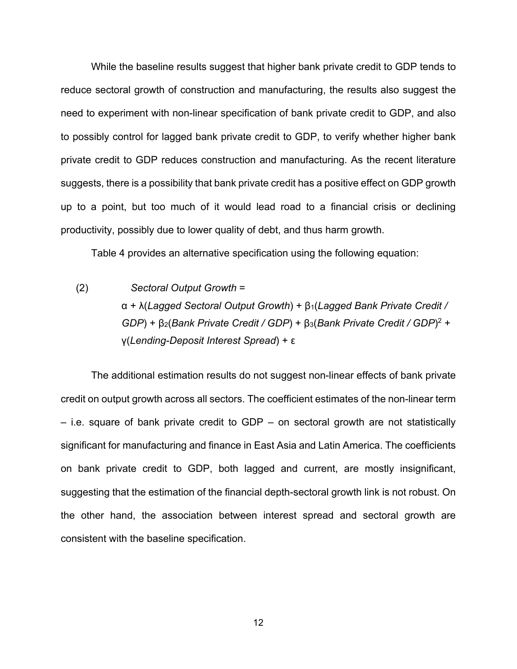While the baseline results suggest that higher bank private credit to GDP tends to reduce sectoral growth of construction and manufacturing, the results also suggest the need to experiment with non-linear specification of bank private credit to GDP, and also to possibly control for lagged bank private credit to GDP, to verify whether higher bank private credit to GDP reduces construction and manufacturing. As the recent literature suggests, there is a possibility that bank private credit has a positive effect on GDP growth up to a point, but too much of it would lead road to a financial crisis or declining productivity, possibly due to lower quality of debt, and thus harm growth.

Table 4 provides an alternative specification using the following equation:

(2) *Sectoral Output Growth* = α + λ(*Lagged Sectoral Output Growth*) + β1(*Lagged Bank Private Credit / GDP*) + β2(*Bank Private Credit / GDP*) + β3(*Bank Private Credit / GDP*) 2 + γ(*Lending-Deposit Interest Spread*) + ε

The additional estimation results do not suggest non-linear effects of bank private credit on output growth across all sectors. The coefficient estimates of the non-linear term – i.e. square of bank private credit to GDP – on sectoral growth are not statistically significant for manufacturing and finance in East Asia and Latin America. The coefficients on bank private credit to GDP, both lagged and current, are mostly insignificant, suggesting that the estimation of the financial depth-sectoral growth link is not robust. On the other hand, the association between interest spread and sectoral growth are consistent with the baseline specification.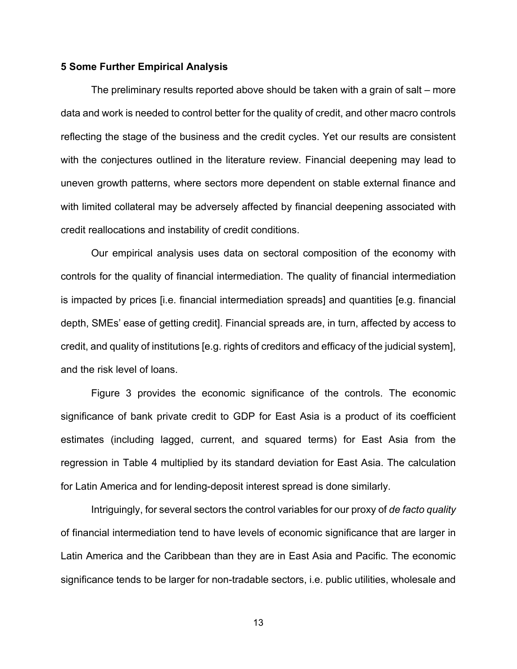#### **5 Some Further Empirical Analysis**

The preliminary results reported above should be taken with a grain of salt – more data and work is needed to control better for the quality of credit, and other macro controls reflecting the stage of the business and the credit cycles. Yet our results are consistent with the conjectures outlined in the literature review. Financial deepening may lead to uneven growth patterns, where sectors more dependent on stable external finance and with limited collateral may be adversely affected by financial deepening associated with credit reallocations and instability of credit conditions.

Our empirical analysis uses data on sectoral composition of the economy with controls for the quality of financial intermediation. The quality of financial intermediation is impacted by prices [i.e. financial intermediation spreads] and quantities [e.g. financial depth, SMEs' ease of getting credit]. Financial spreads are, in turn, affected by access to credit, and quality of institutions [e.g. rights of creditors and efficacy of the judicial system], and the risk level of loans.

 Figure 3 provides the economic significance of the controls. The economic significance of bank private credit to GDP for East Asia is a product of its coefficient estimates (including lagged, current, and squared terms) for East Asia from the regression in Table 4 multiplied by its standard deviation for East Asia. The calculation for Latin America and for lending-deposit interest spread is done similarly.

 Intriguingly, for several sectors the control variables for our proxy of *de facto quality* of financial intermediation tend to have levels of economic significance that are larger in Latin America and the Caribbean than they are in East Asia and Pacific. The economic significance tends to be larger for non-tradable sectors, i.e. public utilities, wholesale and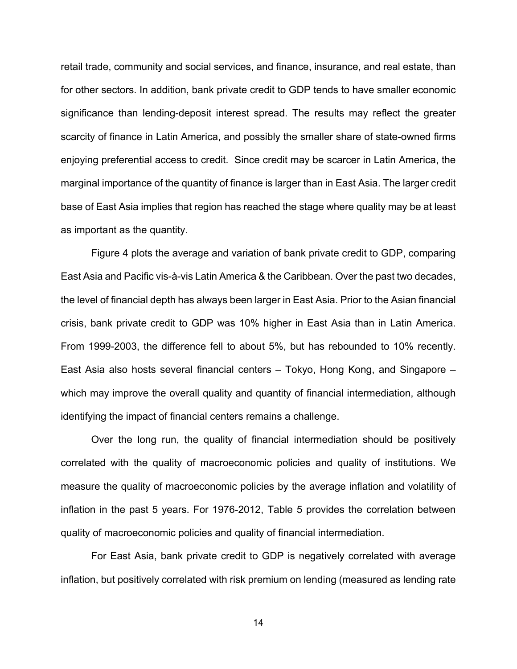retail trade, community and social services, and finance, insurance, and real estate, than for other sectors. In addition, bank private credit to GDP tends to have smaller economic significance than lending-deposit interest spread. The results may reflect the greater scarcity of finance in Latin America, and possibly the smaller share of state-owned firms enjoying preferential access to credit. Since credit may be scarcer in Latin America, the marginal importance of the quantity of finance is larger than in East Asia. The larger credit base of East Asia implies that region has reached the stage where quality may be at least as important as the quantity.

 Figure 4 plots the average and variation of bank private credit to GDP, comparing East Asia and Pacific vis-à-vis Latin America & the Caribbean. Over the past two decades, the level of financial depth has always been larger in East Asia. Prior to the Asian financial crisis, bank private credit to GDP was 10% higher in East Asia than in Latin America. From 1999-2003, the difference fell to about 5%, but has rebounded to 10% recently. East Asia also hosts several financial centers – Tokyo, Hong Kong, and Singapore – which may improve the overall quality and quantity of financial intermediation, although identifying the impact of financial centers remains a challenge.

 Over the long run, the quality of financial intermediation should be positively correlated with the quality of macroeconomic policies and quality of institutions. We measure the quality of macroeconomic policies by the average inflation and volatility of inflation in the past 5 years. For 1976-2012, Table 5 provides the correlation between quality of macroeconomic policies and quality of financial intermediation.

For East Asia, bank private credit to GDP is negatively correlated with average inflation, but positively correlated with risk premium on lending (measured as lending rate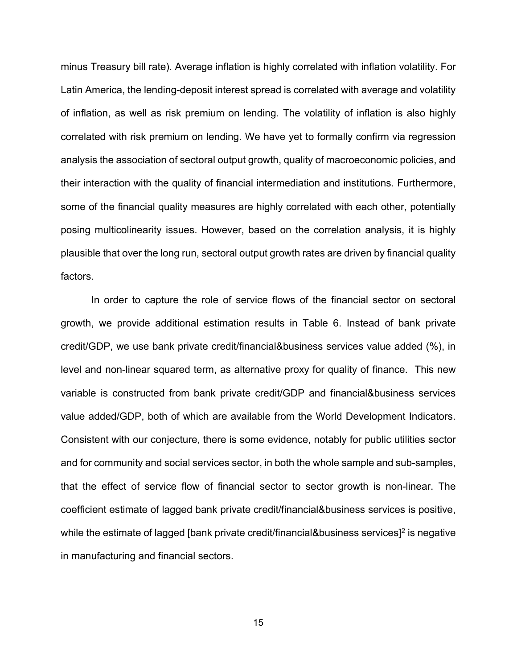minus Treasury bill rate). Average inflation is highly correlated with inflation volatility. For Latin America, the lending-deposit interest spread is correlated with average and volatility of inflation, as well as risk premium on lending. The volatility of inflation is also highly correlated with risk premium on lending. We have yet to formally confirm via regression analysis the association of sectoral output growth, quality of macroeconomic policies, and their interaction with the quality of financial intermediation and institutions. Furthermore, some of the financial quality measures are highly correlated with each other, potentially posing multicolinearity issues. However, based on the correlation analysis, it is highly plausible that over the long run, sectoral output growth rates are driven by financial quality factors.

In order to capture the role of service flows of the financial sector on sectoral growth, we provide additional estimation results in Table 6. Instead of bank private credit/GDP, we use bank private credit/financial&business services value added (%), in level and non-linear squared term, as alternative proxy for quality of finance. This new variable is constructed from bank private credit/GDP and financial&business services value added/GDP, both of which are available from the World Development Indicators. Consistent with our conjecture, there is some evidence, notably for public utilities sector and for community and social services sector, in both the whole sample and sub-samples, that the effect of service flow of financial sector to sector growth is non-linear. The coefficient estimate of lagged bank private credit/financial&business services is positive, while the estimate of lagged [bank private credit/financial&business services]<sup>2</sup> is negative in manufacturing and financial sectors.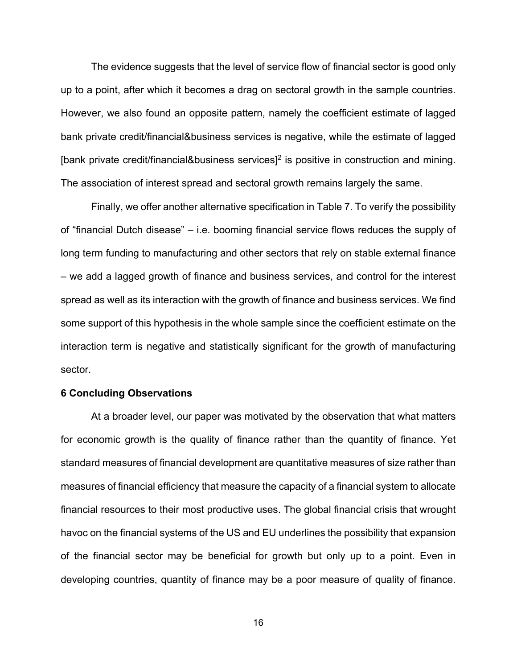The evidence suggests that the level of service flow of financial sector is good only up to a point, after which it becomes a drag on sectoral growth in the sample countries. However, we also found an opposite pattern, namely the coefficient estimate of lagged bank private credit/financial&business services is negative, while the estimate of lagged [bank private credit/financial&business services]2 is positive in construction and mining. The association of interest spread and sectoral growth remains largely the same.

Finally, we offer another alternative specification in Table 7. To verify the possibility of "financial Dutch disease" – i.e. booming financial service flows reduces the supply of long term funding to manufacturing and other sectors that rely on stable external finance – we add a lagged growth of finance and business services, and control for the interest spread as well as its interaction with the growth of finance and business services. We find some support of this hypothesis in the whole sample since the coefficient estimate on the interaction term is negative and statistically significant for the growth of manufacturing sector.

#### **6 Concluding Observations**

At a broader level, our paper was motivated by the observation that what matters for economic growth is the quality of finance rather than the quantity of finance. Yet standard measures of financial development are quantitative measures of size rather than measures of financial efficiency that measure the capacity of a financial system to allocate financial resources to their most productive uses. The global financial crisis that wrought havoc on the financial systems of the US and EU underlines the possibility that expansion of the financial sector may be beneficial for growth but only up to a point. Even in developing countries, quantity of finance may be a poor measure of quality of finance.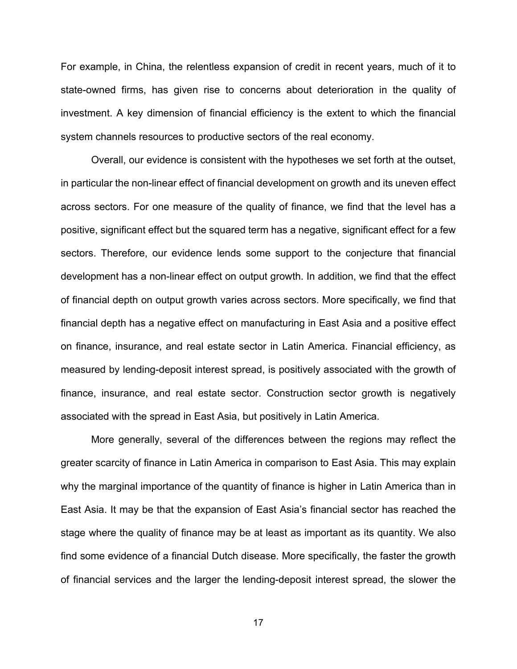For example, in China, the relentless expansion of credit in recent years, much of it to state-owned firms, has given rise to concerns about deterioration in the quality of investment. A key dimension of financial efficiency is the extent to which the financial system channels resources to productive sectors of the real economy.

Overall, our evidence is consistent with the hypotheses we set forth at the outset, in particular the non-linear effect of financial development on growth and its uneven effect across sectors. For one measure of the quality of finance, we find that the level has a positive, significant effect but the squared term has a negative, significant effect for a few sectors. Therefore, our evidence lends some support to the conjecture that financial development has a non-linear effect on output growth. In addition, we find that the effect of financial depth on output growth varies across sectors. More specifically, we find that financial depth has a negative effect on manufacturing in East Asia and a positive effect on finance, insurance, and real estate sector in Latin America. Financial efficiency, as measured by lending-deposit interest spread, is positively associated with the growth of finance, insurance, and real estate sector. Construction sector growth is negatively associated with the spread in East Asia, but positively in Latin America.

More generally, several of the differences between the regions may reflect the greater scarcity of finance in Latin America in comparison to East Asia. This may explain why the marginal importance of the quantity of finance is higher in Latin America than in East Asia. It may be that the expansion of East Asia's financial sector has reached the stage where the quality of finance may be at least as important as its quantity. We also find some evidence of a financial Dutch disease. More specifically, the faster the growth of financial services and the larger the lending-deposit interest spread, the slower the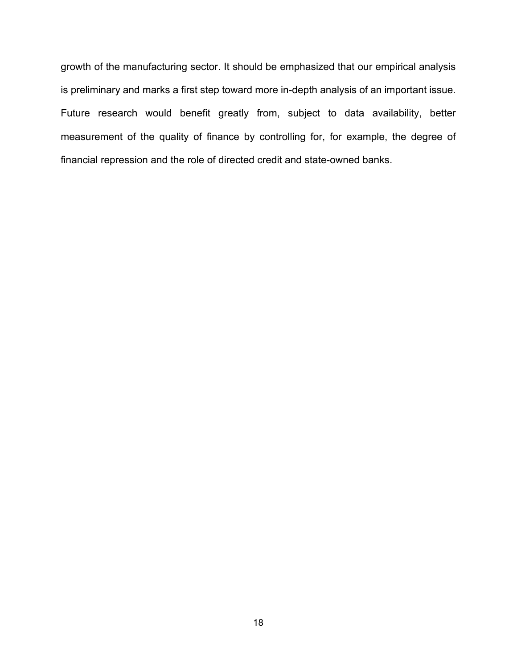growth of the manufacturing sector. It should be emphasized that our empirical analysis is preliminary and marks a first step toward more in-depth analysis of an important issue. Future research would benefit greatly from, subject to data availability, better measurement of the quality of finance by controlling for, for example, the degree of financial repression and the role of directed credit and state-owned banks.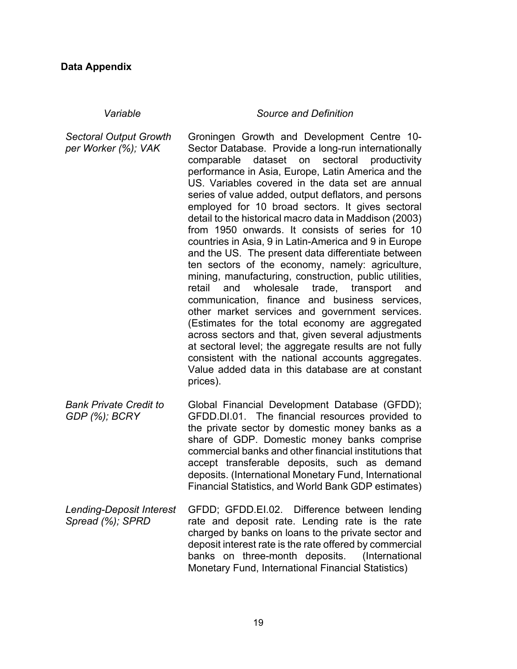### *Variable Source and Definition*

*Sectoral Output Growth per Worker (%); VAK*  Groningen Growth and Development Centre 10- Sector Database. Provide a long-run internationally comparable dataset on sectoral productivity performance in Asia, Europe, Latin America and the US. Variables covered in the data set are annual series of value added, output deflators, and persons employed for 10 broad sectors. It gives sectoral detail to the historical macro data in Maddison (2003) from 1950 onwards. It consists of series for 10 countries in Asia, 9 in Latin-America and 9 in Europe and the US. The present data differentiate between ten sectors of the economy, namely: agriculture, mining, manufacturing, construction, public utilities, retail and wholesale trade, transport and communication, finance and business services, other market services and government services. (Estimates for the total economy are aggregated across sectors and that, given several adjustments at sectoral level; the aggregate results are not fully consistent with the national accounts aggregates. Value added data in this database are at constant prices). *Bank Private Credit to*  Global Financial Development Database (GFDD);

*GDP (%); BCRY*  GFDD.DI.01. The financial resources provided to the private sector by domestic money banks as a share of GDP. Domestic money banks comprise commercial banks and other financial institutions that accept transferable deposits, such as demand deposits. (International Monetary Fund, International Financial Statistics, and World Bank GDP estimates)

*Lending-Deposit Interest Spread (%); SPRD*  GFDD; GFDD.EI.02. Difference between lending rate and deposit rate. Lending rate is the rate charged by banks on loans to the private sector and deposit interest rate is the rate offered by commercial banks on three-month deposits. (International Monetary Fund, International Financial Statistics)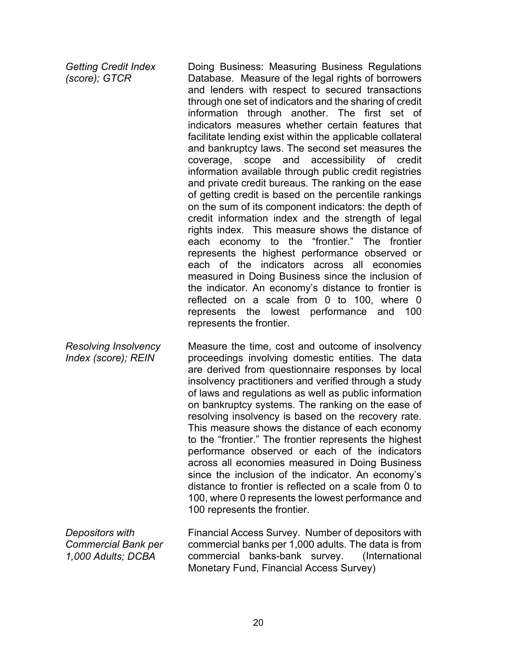*Getting Credit Index (score); GTCR* 

Doing Business: Measuring Business Regulations Database. Measure of the legal rights of borrowers and lenders with respect to secured transactions through one set of indicators and the sharing of credit information through another. The first set of indicators measures whether certain features that facilitate lending exist within the applicable collateral and bankruptcy laws. The second set measures the coverage, scope and accessibility of credit information available through public credit registries and private credit bureaus. The ranking on the ease of getting credit is based on the percentile rankings on the sum of its component indicators: the depth of credit information index and the strength of legal rights index. This measure shows the distance of each economy to the "frontier." The frontier represents the highest performance observed or each of the indicators across all economies measured in Doing Business since the inclusion of the indicator. An economy's distance to frontier is reflected on a scale from 0 to 100, where 0 represents the lowest performance and 100 represents the frontier.

*Resolving Insolvency Index (score); REIN*  Measure the time, cost and outcome of insolvency proceedings involving domestic entities. The data are derived from questionnaire responses by local insolvency practitioners and verified through a study of laws and regulations as well as public information on bankruptcy systems. The ranking on the ease of resolving insolvency is based on the recovery rate. This measure shows the distance of each economy to the "frontier." The frontier represents the highest performance observed or each of the indicators across all economies measured in Doing Business since the inclusion of the indicator. An economy's distance to frontier is reflected on a scale from 0 to 100, where 0 represents the lowest performance and 100 represents the frontier.

*Depositors with Commercial Bank per 1,000 Adults; DCBA* 

Financial Access Survey. Number of depositors with commercial banks per 1,000 adults. The data is from commercial banks-bank survey. (International Monetary Fund, Financial Access Survey)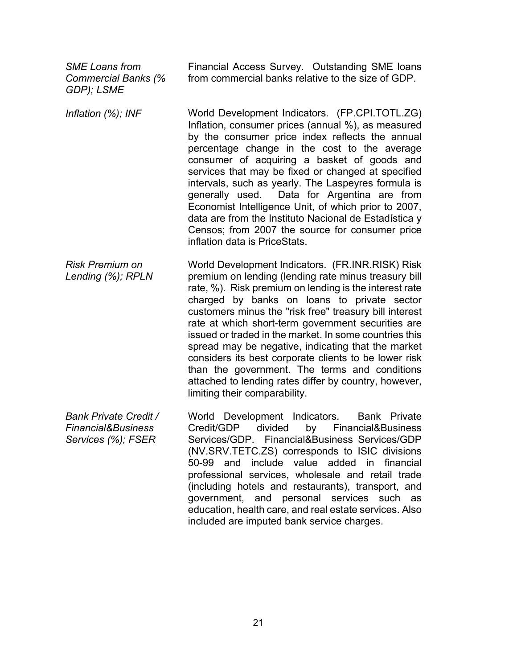*SME Loans from Commercial Banks (% GDP); LSME*  Financial Access Survey. Outstanding SME loans from commercial banks relative to the size of GDP. *Inflation (%); INF* World Development Indicators. (FP.CPI.TOTL.ZG) Inflation, consumer prices (annual %), as measured by the consumer price index reflects the annual percentage change in the cost to the average consumer of acquiring a basket of goods and services that may be fixed or changed at specified intervals, such as yearly. The Laspeyres formula is generally used. Data for Argentina are from Economist Intelligence Unit, of which prior to 2007, data are from the Instituto Nacional de Estadística y Censos; from 2007 the source for consumer price inflation data is PriceStats. *Risk Premium on Lending (%); RPLN*  World Development Indicators. (FR.INR.RISK) Risk premium on lending (lending rate minus treasury bill rate, %). Risk premium on lending is the interest rate charged by banks on loans to private sector customers minus the "risk free" treasury bill interest rate at which short-term government securities are issued or traded in the market. In some countries this spread may be negative, indicating that the market considers its best corporate clients to be lower risk than the government. The terms and conditions attached to lending rates differ by country, however, limiting their comparability. *Bank Private Credit / Financial&Business Services (%); FSER*  World Development Indicators. Bank Private Credit/GDP divided by Financial&Business Services/GDP. Financial&Business Services/GDP (NV.SRV.TETC.ZS) corresponds to ISIC divisions 50-99 and include value added in financial professional services, wholesale and retail trade (including hotels and restaurants), transport, and government, and personal services such as education, health care, and real estate services. Also

included are imputed bank service charges.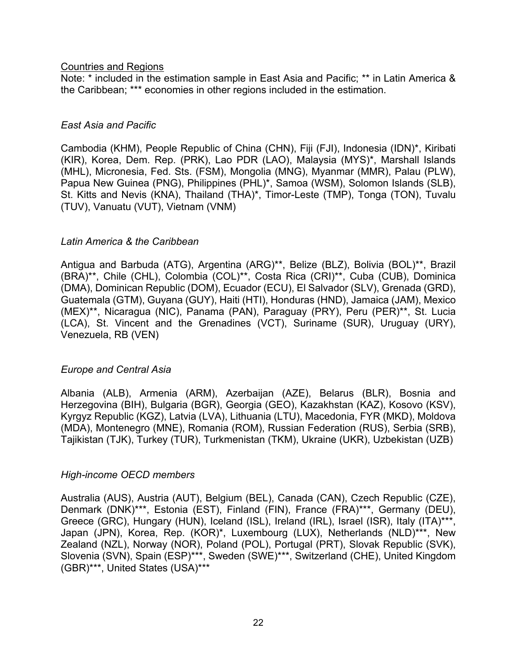### Countries and Regions

Note: \* included in the estimation sample in East Asia and Pacific; \*\* in Latin America & the Caribbean; \*\*\* economies in other regions included in the estimation.

## *East Asia and Pacific*

Cambodia (KHM), People Republic of China (CHN), Fiji (FJI), Indonesia (IDN)\*, Kiribati (KIR), Korea, Dem. Rep. (PRK), Lao PDR (LAO), Malaysia (MYS)\*, Marshall Islands (MHL), Micronesia, Fed. Sts. (FSM), Mongolia (MNG), Myanmar (MMR), Palau (PLW), Papua New Guinea (PNG), Philippines (PHL)\*, Samoa (WSM), Solomon Islands (SLB), St. Kitts and Nevis (KNA), Thailand (THA)\*, Timor-Leste (TMP), Tonga (TON), Tuvalu (TUV), Vanuatu (VUT), Vietnam (VNM)

## *Latin America & the Caribbean*

Antigua and Barbuda (ATG), Argentina (ARG)\*\*, Belize (BLZ), Bolivia (BOL)\*\*, Brazil (BRA)\*\*, Chile (CHL), Colombia (COL)\*\*, Costa Rica (CRI)\*\*, Cuba (CUB), Dominica (DMA), Dominican Republic (DOM), Ecuador (ECU), El Salvador (SLV), Grenada (GRD), Guatemala (GTM), Guyana (GUY), Haiti (HTI), Honduras (HND), Jamaica (JAM), Mexico (MEX)\*\*, Nicaragua (NIC), Panama (PAN), Paraguay (PRY), Peru (PER)\*\*, St. Lucia (LCA), St. Vincent and the Grenadines (VCT), Suriname (SUR), Uruguay (URY), Venezuela, RB (VEN)

# *Europe and Central Asia*

Albania (ALB), Armenia (ARM), Azerbaijan (AZE), Belarus (BLR), Bosnia and Herzegovina (BIH), Bulgaria (BGR), Georgia (GEO), Kazakhstan (KAZ), Kosovo (KSV), Kyrgyz Republic (KGZ), Latvia (LVA), Lithuania (LTU), Macedonia, FYR (MKD), Moldova (MDA), Montenegro (MNE), Romania (ROM), Russian Federation (RUS), Serbia (SRB), Tajikistan (TJK), Turkey (TUR), Turkmenistan (TKM), Ukraine (UKR), Uzbekistan (UZB)

# *High-income OECD members*

Australia (AUS), Austria (AUT), Belgium (BEL), Canada (CAN), Czech Republic (CZE), Denmark (DNK)\*\*\*, Estonia (EST), Finland (FIN), France (FRA)\*\*\*, Germany (DEU), Greece (GRC), Hungary (HUN), Iceland (ISL), Ireland (IRL), Israel (ISR), Italy (ITA)\*\*\*, Japan (JPN), Korea, Rep. (KOR)\*, Luxembourg (LUX), Netherlands (NLD)\*\*\*, New Zealand (NZL), Norway (NOR), Poland (POL), Portugal (PRT), Slovak Republic (SVK), Slovenia (SVN), Spain (ESP)\*\*\*, Sweden (SWE)\*\*\*, Switzerland (CHE), United Kingdom (GBR)\*\*\*, United States (USA)\*\*\*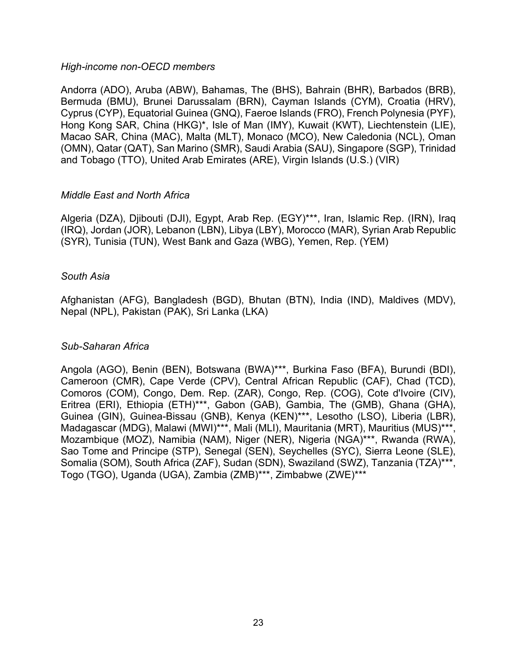## *High-income non-OECD members*

Andorra (ADO), Aruba (ABW), Bahamas, The (BHS), Bahrain (BHR), Barbados (BRB), Bermuda (BMU), Brunei Darussalam (BRN), Cayman Islands (CYM), Croatia (HRV), Cyprus (CYP), Equatorial Guinea (GNQ), Faeroe Islands (FRO), French Polynesia (PYF), Hong Kong SAR, China (HKG)\*, Isle of Man (IMY), Kuwait (KWT), Liechtenstein (LIE), Macao SAR, China (MAC), Malta (MLT), Monaco (MCO), New Caledonia (NCL), Oman (OMN), Qatar (QAT), San Marino (SMR), Saudi Arabia (SAU), Singapore (SGP), Trinidad and Tobago (TTO), United Arab Emirates (ARE), Virgin Islands (U.S.) (VIR)

# *Middle East and North Africa*

Algeria (DZA), Djibouti (DJI), Egypt, Arab Rep. (EGY)\*\*\*, Iran, Islamic Rep. (IRN), Iraq (IRQ), Jordan (JOR), Lebanon (LBN), Libya (LBY), Morocco (MAR), Syrian Arab Republic (SYR), Tunisia (TUN), West Bank and Gaza (WBG), Yemen, Rep. (YEM)

## *South Asia*

Afghanistan (AFG), Bangladesh (BGD), Bhutan (BTN), India (IND), Maldives (MDV), Nepal (NPL), Pakistan (PAK), Sri Lanka (LKA)

# *Sub-Saharan Africa*

Angola (AGO), Benin (BEN), Botswana (BWA)\*\*\*, Burkina Faso (BFA), Burundi (BDI), Cameroon (CMR), Cape Verde (CPV), Central African Republic (CAF), Chad (TCD), Comoros (COM), Congo, Dem. Rep. (ZAR), Congo, Rep. (COG), Cote d'Ivoire (CIV), Eritrea (ERI), Ethiopia (ETH)\*\*\*, Gabon (GAB), Gambia, The (GMB), Ghana (GHA), Guinea (GIN), Guinea-Bissau (GNB), Kenya (KEN)\*\*\*, Lesotho (LSO), Liberia (LBR), Madagascar (MDG), Malawi (MWI)\*\*\*, Mali (MLI), Mauritania (MRT), Mauritius (MUS)\*\*\*, Mozambique (MOZ), Namibia (NAM), Niger (NER), Nigeria (NGA)\*\*\*, Rwanda (RWA), Sao Tome and Principe (STP), Senegal (SEN), Seychelles (SYC), Sierra Leone (SLE), Somalia (SOM), South Africa (ZAF), Sudan (SDN), Swaziland (SWZ), Tanzania (TZA)\*\*\*, Togo (TGO), Uganda (UGA), Zambia (ZMB)\*\*\*, Zimbabwe (ZWE)\*\*\*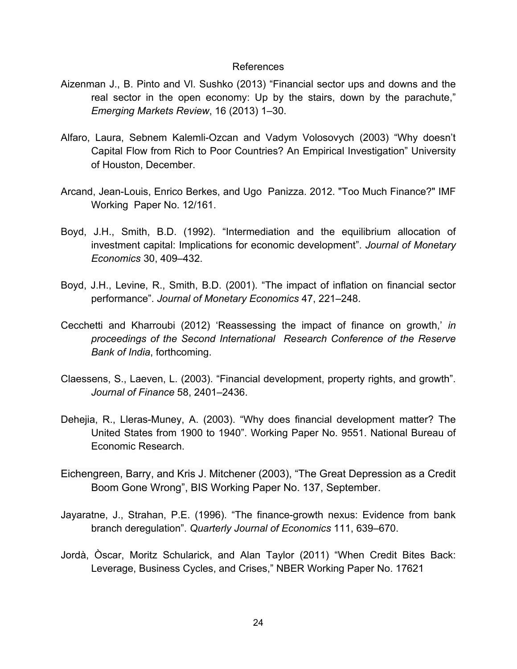#### References

- Aizenman J., B. Pinto and Vl. Sushko (2013) "Financial sector ups and downs and the real sector in the open economy: Up by the stairs, down by the parachute," *Emerging Markets Review*, 16 (2013) 1–30.
- Alfaro, Laura, Sebnem Kalemli-Ozcan and Vadym Volosovych (2003) "Why doesn't Capital Flow from Rich to Poor Countries? An Empirical Investigation" University of Houston, December.
- Arcand, Jean-Louis, Enrico Berkes, and Ugo Panizza. 2012. "Too Much Finance?" IMF Working Paper No. 12/161.
- Boyd, J.H., Smith, B.D. (1992). "Intermediation and the equilibrium allocation of investment capital: Implications for economic development". *Journal of Monetary Economics* 30, 409–432.
- Boyd, J.H., Levine, R., Smith, B.D. (2001). "The impact of inflation on financial sector performance". *Journal of Monetary Economics* 47, 221–248.
- Cecchetti and Kharroubi (2012) 'Reassessing the impact of finance on growth,' *in proceedings of the Second International Research Conference of the Reserve Bank of India*, forthcoming.
- Claessens, S., Laeven, L. (2003). "Financial development, property rights, and growth". *Journal of Finance* 58, 2401–2436.
- Dehejia, R., Lleras-Muney, A. (2003). "Why does financial development matter? The United States from 1900 to 1940". Working Paper No. 9551. National Bureau of Economic Research.
- Eichengreen, Barry, and Kris J. Mitchener (2003), "The Great Depression as a Credit Boom Gone Wrong", BIS Working Paper No. 137, September.
- Jayaratne, J., Strahan, P.E. (1996). "The finance-growth nexus: Evidence from bank branch deregulation". *Quarterly Journal of Economics* 111, 639–670.
- Jordà, Òscar, Moritz Schularick, and Alan Taylor (2011) "When Credit Bites Back: Leverage, Business Cycles, and Crises," NBER Working Paper No. 17621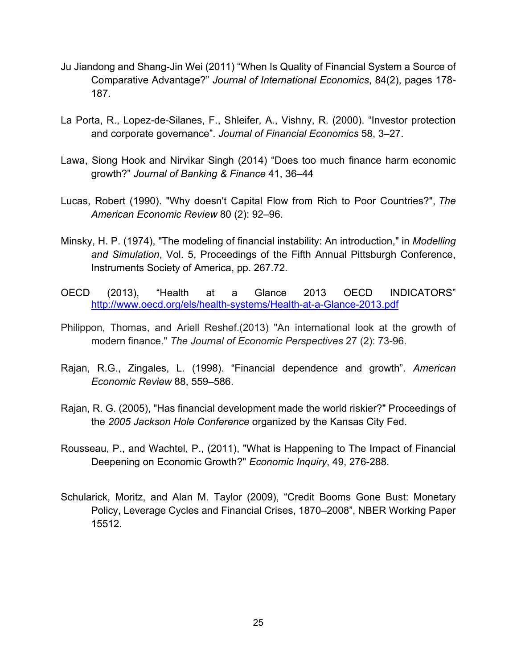- Ju Jiandong and Shang-Jin Wei (2011) "When Is Quality of Financial System a Source of Comparative Advantage?" *Journal of International Economics*, 84(2), pages 178- 187.
- La Porta, R., Lopez-de-Silanes, F., Shleifer, A., Vishny, R. (2000). "Investor protection and corporate governance". *Journal of Financial Economics* 58, 3–27.
- Lawa, Siong Hook and Nirvikar Singh (2014) "Does too much finance harm economic growth?" *Journal of Banking & Finance* 41, 36–44
- Lucas, Robert (1990). "Why doesn't Capital Flow from Rich to Poor Countries?", *The American Economic Review* 80 (2): 92–96.
- Minsky, H. P. (1974), "The modeling of financial instability: An introduction," in *Modelling and Simulation*, Vol. 5, Proceedings of the Fifth Annual Pittsburgh Conference, Instruments Society of America, pp. 267.72.
- OECD (2013), "Health at a Glance 2013 OECD INDICATORS" http://www.oecd.org/els/health-systems/Health-at-a-Glance-2013.pdf
- Philippon, Thomas, and Ariell Reshef.(2013) "An international look at the growth of modern finance." *The Journal of Economic Perspectives* 27 (2): 73-96.
- Rajan, R.G., Zingales, L. (1998). "Financial dependence and growth". *American Economic Review* 88, 559–586.
- Rajan, R. G. (2005), "Has financial development made the world riskier?" Proceedings of the *2005 Jackson Hole Conference* organized by the Kansas City Fed.
- Rousseau, P., and Wachtel, P., (2011), "What is Happening to The Impact of Financial Deepening on Economic Growth?" *Economic Inquiry*, 49, 276-288.
- Schularick, Moritz, and Alan M. Taylor (2009), "Credit Booms Gone Bust: Monetary Policy, Leverage Cycles and Financial Crises, 1870–2008", NBER Working Paper 15512.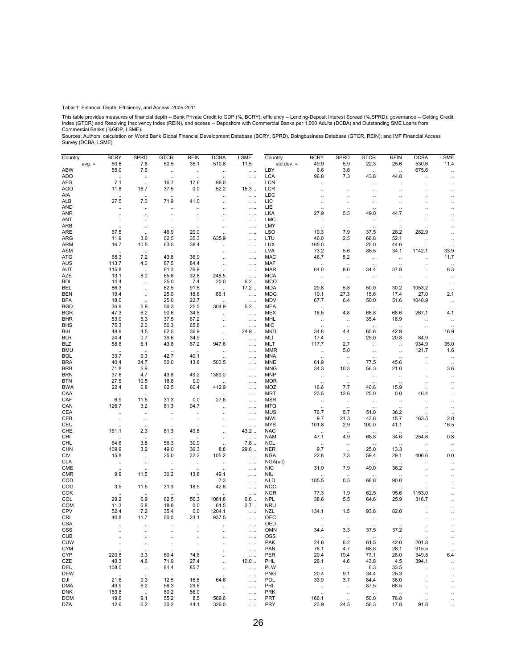Table 1: Financial Depth, Efficiency, and Access, 2005-2011

This table provides measures of financial depth -- Bank Private Credit to GDP (%, BCRY); efficiency -- Lending-Deposit Interest Spread (%,SPRD); governance -- Getting Credit<br>Index (GTCR) and Resolving Insolvency Index (REI

Sources: Authors' calculation on World Bank Global Financial Development Database (BCRY, SPRD), Doingbusiness Database (GTCR, REIN); and IMF Financial Access Survey (DCBA, LSME)

| Country    |          | <b>BCRY</b>          | <b>SPRD</b>          | <b>GTCR</b>          | <b>REIN</b>              | <b>DCBA</b>          | LSME          | Country      | <b>BCRY</b>          | <b>SPRD</b>          | <b>GTCR</b>              | <b>REIN</b>          | <b>DCBA</b>          | LSME                 |
|------------|----------|----------------------|----------------------|----------------------|--------------------------|----------------------|---------------|--------------|----------------------|----------------------|--------------------------|----------------------|----------------------|----------------------|
|            | $avg. =$ | 50.6                 | 7.8                  | 50.5                 | 35.1                     | 510.8                | 11.5          | $std.dev. =$ | 49.9                 | 5.9                  | 22.3                     | 25.6                 | 530.6                | 11.4                 |
|            |          |                      |                      |                      |                          |                      |               |              |                      |                      |                          |                      |                      |                      |
| <b>ABW</b> |          | 55.0                 | 7.6                  | $\ldots$             | $\ddot{\phantom{a}}$     | $\ddotsc$            |               | LBY          | 6.6                  | 3.6                  | $\ddotsc$                | $\ddot{\phantom{a}}$ | 675.6                |                      |
| <b>ADO</b> |          | $\ddotsc$            | $\ddot{\phantom{0}}$ | $\cdot$              | $\ddotsc$                | $\ldots$             | $\ldots$      | <b>LCA</b>   | 96.8                 | 7.3                  | 43.8                     | 44.8                 | $\ddot{\phantom{a}}$ |                      |
| AFG        |          | 7.1                  | $\ddotsc$            | 16.7                 | 17.6                     | 96.0                 | $\ldots$      | <b>LCN</b>   | $\ddot{\phantom{a}}$ | $\ddot{\phantom{a}}$ | $\ddot{\phantom{a}}$     | $\ddot{\phantom{a}}$ | $\ddot{\phantom{a}}$ |                      |
| <b>AGO</b> |          | 11.8                 | 16.7                 | 37.5                 | 0.0                      | 52.2                 | 15.3          | <b>LCR</b>   | $\ddotsc$            | $\ddotsc$            | $\ddotsc$                | $\ddot{\phantom{a}}$ |                      |                      |
| AIA        |          | $\ldots$             | $\ddotsc$            | $\ddotsc$            | $\ddot{\phantom{a}}$     | $\ddot{\phantom{a}}$ |               | LDC          | $\ddot{\phantom{a}}$ | $\ddot{\phantom{a}}$ | $\ddot{\phantom{a}}$     |                      |                      |                      |
| ALB        |          | 27.5                 | 7.0                  | 71.9                 | 41.0                     |                      |               | LIC          |                      |                      |                          |                      |                      |                      |
|            |          |                      |                      |                      |                          | $\ddotsc$            | $\cdots$      |              | $\ddotsc$            | $\ddot{\phantom{a}}$ | $\ddotsc$                | $\ddot{\phantom{a}}$ |                      |                      |
| <b>AND</b> |          | $\ldots$             | $\ddot{\phantom{a}}$ | $\ddot{\phantom{a}}$ | $\ddot{\phantom{0}}$     |                      |               | LIE          | $\ddotsc$            | $\ddot{\phantom{a}}$ | $\ddotsc$                | $\ddotsc$            |                      |                      |
| <b>ANR</b> |          | $\ddot{\phantom{0}}$ |                      | $\ddot{\phantom{a}}$ | ٠.                       |                      | $\cdots$      | LKA          | 27.9                 | 5.5                  | 49.0                     | 44.7                 |                      |                      |
| <b>ANT</b> |          | $\ddot{\phantom{0}}$ |                      | $\ddotsc$            |                          |                      |               | LMC          | $\ddotsc$            | $\ddotsc$            | $\ddotsc$                | $\ddot{\phantom{0}}$ |                      |                      |
| ARB        |          |                      |                      | Ŀ,                   |                          |                      |               | LMY          |                      |                      |                          |                      |                      |                      |
|            |          |                      |                      |                      | 29.0                     |                      |               | <b>LSO</b>   |                      |                      |                          |                      |                      |                      |
| ARE        |          | 67.5                 | $\ddot{\phantom{0}}$ | 46.9                 |                          |                      |               |              | 10.3                 | 7.9                  | 37.5                     | 28.2                 | 282.9                |                      |
| <b>ARG</b> |          | 11.9                 | 3.6                  | 62.5                 | 35.3                     | 635.9                | $\cdots$      | LTU          | 46.0                 | 2.5                  | 68.8                     | 52.1                 | $\ddot{\phantom{a}}$ |                      |
| <b>ARM</b> |          | 16.7                 | 10.5                 | 63.5                 | 38.4                     |                      | $\cdots$      | <b>LUX</b>   | 165.0                | $\ddotsc$            | 25.0                     | 44.6                 |                      |                      |
| <b>ASM</b> |          | $\ddotsc$            | $\ddotsc$            | $\ddot{\phantom{a}}$ | $\ddot{\phantom{a}}$     | Ω.                   | $\cdots$      | <b>LVA</b>   | 73.2                 | 5.6                  | 88.5                     | 34.1                 | 1142.1               | 33.9                 |
| ATG        |          | 68.3                 | 7.2                  | 43.8                 | 36.9                     | $\ddot{\phantom{a}}$ | $\cdots$      | <b>MAC</b>   | 46.7                 | 5.2                  | $\ddot{\phantom{0}}$     | $\ddot{\phantom{0}}$ | $\ddot{\phantom{a}}$ | 11.7                 |
| AUS        |          | 113.7                | 4.0                  | 87.5                 | 84.4                     |                      |               | <b>MAF</b>   |                      |                      |                          |                      |                      |                      |
|            |          |                      |                      |                      |                          | $\ddot{\phantom{a}}$ | $\cdots$      |              |                      | $\ddotsc$            |                          | $\ddot{\phantom{a}}$ |                      |                      |
| AUT        |          | 115.8                | $\ddot{\phantom{a}}$ | 81.3                 | 76.9                     | $\ddotsc$            | $\ldots$      | <b>MAR</b>   | 64.0                 | 8.0                  | 34.4                     | 37.8                 |                      | 8.3                  |
| AZE        |          | 13.1                 | 8.0                  | 65.6                 | 32.8                     | 246.5                | $\ldots$      | <b>MCA</b>   | $\ldots$             | $\ldots$             | $\ddotsc$                | $\ddot{\phantom{0}}$ |                      |                      |
| <b>BDI</b> |          | 14.4                 |                      | 25.0                 | 7.4                      | 20.0                 | 6.2           | <b>MCO</b>   |                      |                      |                          |                      |                      |                      |
| BEL        |          | 86.3                 | $\ddotsc$            | 62.5                 | 91.5                     | $\ldots$             | 17.2          | MDA          | 29.8                 | 5.8                  | 50.0                     | 30.2                 | 1053.2               |                      |
| <b>BEN</b> |          | 19.4                 |                      | 25.0                 | 18.6                     | 86.1                 |               | <b>MDG</b>   | 10.1                 | 27.3                 | 15.6                     | 17.4                 | 27.0                 | 2.1                  |
|            |          |                      | $\ddot{\phantom{0}}$ |                      |                          |                      |               |              |                      |                      |                          |                      |                      |                      |
| BFA        |          | 18.0                 | $\ddotsc$            | 25.0                 | 22.7                     |                      | $\sim$ $\sim$ | MDV          | 67.7                 | 6.4                  | 50.0                     | 51.6                 | 1048.9               |                      |
| BGD        |          | 36.9                 | 5.9                  | 56.3                 | 25.5                     | 304.9                | 5.2           | MEA          | $\ddot{\phantom{a}}$ | $\ddot{\phantom{a}}$ | $\ddotsc$                | $\ddotsc$            |                      |                      |
| <b>BGR</b> |          | 47.3                 | 6.2                  | 90.6                 | 34.5                     | $\ddot{\phantom{a}}$ | $\cdots$      | <b>MEX</b>   | 16.5                 | 4.8                  | 68.8                     | 68.6                 | 267.1                | 4.1                  |
| <b>BHR</b> |          | 53.9                 | 5.3                  | 37.5                 | 67.2                     | $\ddotsc$            | $\cdots$      | MHL          | $\ddotsc$            | $\ddotsc$            | 35.4                     | 18.9                 | $\ddotsc$            | $\ddotsc$            |
| <b>BHS</b> |          | 75.3                 | 2.0                  | 56.3                 | 65.8                     |                      |               | <b>MIC</b>   |                      |                      |                          |                      |                      |                      |
|            |          |                      |                      |                      |                          | $\ddot{\phantom{a}}$ | $\cdots$      |              | $\ddotsc$            | $\cdot$              |                          | $\ddotsc$            |                      |                      |
| BIH        |          | 48.9                 | 4.5                  | 62.5                 | 36.9                     |                      | 24.9          | <b>MKD</b>   | 34.8                 | 4.4                  | 65.6                     | 42.9                 | $\ddot{\phantom{a}}$ | 16.9                 |
| <b>BLR</b> |          | 24.4                 | 0.7                  | 39.6                 | 34.9                     |                      |               | MLI          | 17.4                 |                      | 25.0                     | 20.8                 | 84.9                 |                      |
| BLZ        |          | 58.8                 | 6.1                  | 43.8                 | 67.2                     | 947.6                | $\ldots$      | MLT          | 117.7                | 2.7                  | $\ddotsc$                |                      | 934.9                | 35.0                 |
| <b>BMU</b> |          |                      | $\ddot{\phantom{0}}$ | ÷.                   | $\ddot{\phantom{0}}$     |                      | $\ldots$      | <b>MMR</b>   | $\ldots$             | 5.0                  | $\ddotsc$                | $\ddot{\phantom{a}}$ | 121.7                | 1.6                  |
| <b>BOL</b> |          | 33.7                 | 9.3                  | 42.7                 | 40.1                     |                      |               | <b>MNA</b>   |                      |                      |                          |                      |                      |                      |
|            |          |                      |                      |                      |                          |                      |               |              | $\cdot$ .            | $\ddotsc$            | $\ldots$                 | $\ddot{\phantom{0}}$ |                      |                      |
| <b>BRA</b> |          | 40.4                 | 34.7                 | 50.0                 | 13.8                     | 500.5                | $\cdots$      | MNE          | 61.9                 | $\ddotsc$            | 77.5                     | 45.6                 | $\ddot{\phantom{a}}$ | $\cdot$              |
| <b>BRB</b> |          | 71.8                 | 5.9                  | $\ddot{\phantom{a}}$ | $\ddot{\phantom{0}}$     |                      | $\cdots$      | <b>MNG</b>   | 34.3                 | 10.3                 | 56.3                     | 21.0                 | $\ddot{\phantom{a}}$ | 3.6                  |
| <b>BRN</b> |          | 37.6                 | 4.7                  | 43.8                 | 49.2                     | 1389.0               | $\cdots$      | <b>MNP</b>   | $\ddotsc$            | $\ddotsc$            | $\ddotsc$                | $\ddot{\phantom{a}}$ |                      | $\ddot{\phantom{a}}$ |
| <b>BTN</b> |          | 27.5                 | 10.5                 | 18.8                 | 0.0                      |                      | $\cdots$      | <b>MOR</b>   | $\ddotsc$            | $\ddotsc$            | ٠.,                      | $\ddot{\phantom{a}}$ | $\ddot{\phantom{0}}$ |                      |
| <b>BWA</b> |          | 22.4                 | 6.8                  | 62.5                 | 60.4                     | 412.9                |               | MOZ          | 16.6                 | 7.7                  | 40.6                     | 15.9                 |                      |                      |
|            |          |                      |                      |                      |                          |                      | $\cdots$      |              |                      |                      |                          |                      | $\ddotsc$            |                      |
| CAA        |          | $\ddotsc$            |                      |                      |                          |                      | $\cdots$      | <b>MRT</b>   | 23.5                 | 12.6                 | 25.0                     | 0.0                  | 46.4                 |                      |
| CAF        |          | 6.9                  | 11.5                 | 31.3                 | 0.0                      | 27.6                 | $\cdots$      | <b>MSR</b>   | $\ldots$             | $\ddotsc$            | $\ddotsc$                | $\ddotsc$            |                      |                      |
| CAN        |          | 126.7                | 3.2                  | 81.3                 | 94.7                     |                      | $\cdots$      | <b>MTQ</b>   | $\ldots$             | $\ddotsc$            |                          | $\ddotsc$            |                      |                      |
| CEA        |          | $\ddot{\phantom{0}}$ | $\ddotsc$            | $\ddotsc$            |                          |                      |               | <b>MUS</b>   | 76.7                 | 5.7                  | 51.0                     | 36.2                 |                      |                      |
| CEB        |          |                      |                      |                      |                          |                      |               | <b>MWI</b>   | 9.7                  | 21.3                 | 43.8                     | 15.7                 | 163.5                | 2.0                  |
|            |          | $\ddot{\phantom{0}}$ | $\ddotsc$            | $\ddotsc$            | $\ddotsc$                |                      |               |              |                      |                      |                          |                      |                      |                      |
| CEU        |          | $\ddot{\phantom{0}}$ | $\ddotsc$            | $\ddotsc$            | $\ddot{\phantom{0}}$     | $\ddotsc$            | $\cdots$      | MYS          | 101.8                | 2.9                  | 100.0                    | 41.1                 | $\ddotsc$            | 16.5                 |
| CHE        |          | 161.1                | 2.3                  | 81.3                 | 49.8                     | $\ddotsc$            | 43.2          | <b>NAC</b>   |                      | $\ddot{\phantom{a}}$ |                          | $\ddotsc$            |                      |                      |
| CHI        |          | $\ddotsc$            | $\ddot{\phantom{a}}$ | $\ddotsc$            | $\ddotsc$                | $\ddotsc$            | $\ldots$      | <b>NAM</b>   | 47.1                 | 4.9                  | 68.8                     | 34.6                 | 254.6                | 0.8                  |
| CHL        |          | 64.6                 | 3.8                  | 56.3                 | 30.9                     | $\ddotsc$            | 7.8           | <b>NCL</b>   | $\ddot{\phantom{a}}$ | $\ddotsc$            | $\ddotsc$                | $\ddotsc$            |                      |                      |
| <b>CHN</b> |          | 109.9                | 3.2                  | 49.0                 | 36.3                     | 8.8                  | 29.6          | <b>NER</b>   | 9.7                  | $\ddotsc$            | 25.0                     | 13.3                 |                      |                      |
|            |          |                      |                      |                      |                          |                      |               |              |                      |                      |                          |                      |                      |                      |
| CIV        |          | 15.8                 | $\ddotsc$            | 25.0                 | 32.2                     | 105.2                |               | NGA          | 22.8                 | 7.3                  | 59.4                     | 29.1                 | 406.6                | 0.0                  |
| <b>CLA</b> |          | $\cdot\cdot$         | $\ddot{\phantom{0}}$ | $\ddotsc$            | $\ddotsc$                |                      | $\ldots$      | NGA(alt)     |                      |                      |                          |                      |                      |                      |
| <b>CME</b> |          | $\ddotsc$            | $\ddotsc$            | $\ddot{\phantom{0}}$ | $\ddot{\phantom{0}}$     | $\ddotsc$            | $\ldots$      | <b>NIC</b>   | 31.9                 | 7.9                  | 49.0                     | 36.2                 |                      |                      |
| <b>CMR</b> |          | 9.9                  | 11.5                 | 30.2                 | 13.8                     | 49.1                 |               | NIU          |                      |                      |                          |                      |                      |                      |
| COD        |          | $\ddotsc$            | $\ddotsc$            |                      | Ţ,                       | 7.3                  | $\ldots$      | <b>NLD</b>   | 185.5                | 0.5                  | 68.8                     | 90.0                 |                      |                      |
| COG        |          | 3.5                  | 11.5                 | 31.3                 | 18.5                     | 42.8                 |               | <b>NOC</b>   | $\ddotsc$            | $\ddot{\phantom{a}}$ |                          | $\ddot{\phantom{a}}$ |                      |                      |
|            |          |                      |                      |                      |                          |                      |               | <b>NOR</b>   |                      | 1.9                  |                          |                      |                      |                      |
| COK        |          | $\ddotsc$            | $\ddot{\phantom{a}}$ | $\ddot{\phantom{a}}$ | $\ddot{\phantom{0}}$     |                      | $\ldots$      |              | 77.3                 |                      | 62.5                     | 95.6                 | 1153.0               |                      |
| COL        |          | 29.2                 | 6.9                  | 62.5                 | 56.3                     | 1061.8               | 0.6           | <b>NPL</b>   | 38.6                 | 5.5                  | 64.6                     | 25.9                 | 316.7                |                      |
| COM        |          | 11.3                 | 6.8                  | 18.8                 | 0.0                      | 61.5                 | 2.7           | <b>NRU</b>   |                      | $\ddot{\phantom{a}}$ |                          | $\ddot{\phantom{a}}$ |                      |                      |
| <b>CPV</b> |          | 52.4                 | 7.2                  | 35.4                 | 0.0                      | 1204.1               | $\cdots$      | <b>NZL</b>   | 134.1                | 1.5                  | 93.8                     | 82.0                 |                      |                      |
| CRI        |          | 40.8                 | 11.7                 | 50.0                 | 23.1                     | 937.5                |               | OEC          |                      |                      |                          |                      |                      |                      |
|            |          |                      |                      |                      |                          |                      |               |              |                      |                      |                          |                      |                      |                      |
| <b>CSA</b> |          | $\ldots$             | $\ldots$             | $\ddot{\phantom{0}}$ | $\ddot{\phantom{0}}$     | $\ddot{\phantom{a}}$ |               | OED          |                      | $\ddotsc$            |                          | $\ddot{\phantom{0}}$ |                      |                      |
| CSS        |          |                      |                      |                      |                          |                      |               | <b>OMN</b>   | 34.4                 | 3.3                  | 37.5                     | 37.2                 |                      |                      |
| <b>CUB</b> |          | $\ldots$             | $\ddotsc$            | $\ldots$             | $\ddotsc$                | $\ddotsc$            | $\cdots$      | <b>OSS</b>   | $\ldots$             | $\ldots$             | $\ldots$                 | $\ldots$             | $\ddots$             | $\ldots$             |
| <b>CUW</b> |          | $\ldots$             | $\cdot$              | $\ldots$             | $\ldots$                 | $\ddotsc$            |               | <b>PAK</b>   | 24.6                 | 6.2                  | 61.5                     | 42.0                 | 201.8                | $\ldots$             |
| <b>CYM</b> |          | $\ldots$             | $\ddotsc$            | $\cdot$              | $\ddotsc$                | $\ddotsc$            | $\cdots$      | <b>PAN</b>   | 78.1                 | 4.7                  | 68.8                     | 28.1                 | 915.5                | $\ldots$             |
| <b>CYP</b> |          | 220.8                | 3.3                  | 60.4                 | 74.8                     |                      |               | PER          | 20.4                 | 19.4                 | 77.1                     | 28.0                 | 349.8                | 6.4                  |
|            |          |                      |                      |                      |                          | $\ddotsc$            | $\cdots$      |              |                      |                      |                          |                      |                      |                      |
| CZE        |          | 40.3                 | 4.6                  | 71.9                 | 27.4                     | $\ddotsc$            | 10.0          | PHL          | 26.1                 | 4.6                  | 43.8                     | 4.5                  | 394.1                | $\cdot\cdot$         |
| DEU        |          | 108.0                | $\ldots$             | 84.4                 | 85.7                     | $\ddotsc$            | $\ldots$      | <b>PLW</b>   | $\sim$               | $\ldots$             | 6.3                      | 33.5                 | $\ddotsc$            | $\ddotsc$            |
| <b>DEW</b> |          | $\sim$               | $\ddotsc$            | $\sim$               | $\overline{\phantom{a}}$ | $\ddotsc$            | $\cdots$      | <b>PNG</b>   | 20.4                 | 9.1                  | 34.4                     | 25.3                 | $\ldots$             | $\ldots$             |
| DJI        |          | 21.6                 | 9.3                  | 12.5                 | 16.8                     | 64.6                 | $\ldots$      | POL          | 33.9                 | 3.7                  | 84.4                     | 36.0                 | $\ldots$             | $\ldots$             |
| <b>DMA</b> |          | 49.9                 | 6.2                  | 56.3                 | 29.6                     |                      |               | PRI          | $\sim$ $\sim$        |                      | 87.5                     | 68.5                 |                      |                      |
|            |          |                      |                      |                      |                          | $\ldots$             | $\cdots$      |              |                      | $\ldots$             |                          |                      | $\ldots$             | $\ldots$             |
| <b>DNK</b> |          | 183.8                | $\ldots$             | 80.2                 | 86.0                     | $\cdot$ .            | $\cdots$      | <b>PRK</b>   | $\ldots$             | $\ldots$             | $\overline{\phantom{a}}$ | $\sim$               | $\ldots$             | $\ldots$             |
| <b>DOM</b> |          | 19.6                 | 9.1                  | 55.2                 | 8.5                      | 569.6                | $\ldots$      | PRT          | 166.1                | $\ldots$             | 50.0                     | 76.8                 |                      | $\ldots$             |
| <b>DZA</b> |          | 12.6                 | 6.2                  | 30.2                 | 44.1                     | 326.0                | $\cdots$      | <b>PRY</b>   | 23.9                 | 24.5                 | 56.3                     | 17.8                 | 91.8                 | $\ldots$             |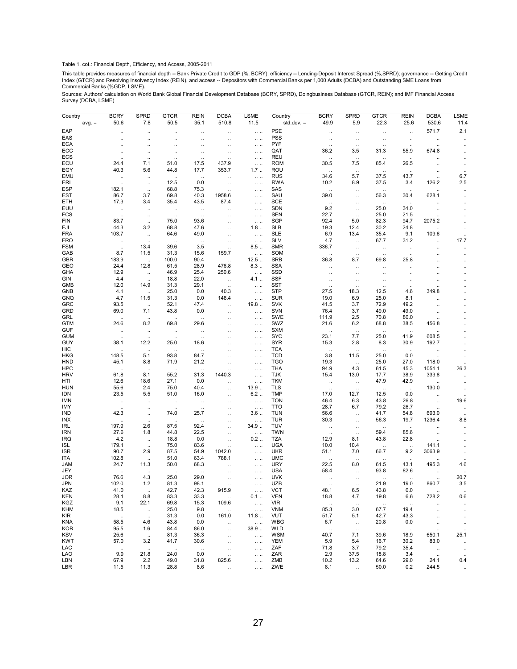This table provides measures of financial depth -- Bank Private Credit to GDP (%, BCRY); efficiency -- Lending-Deposit Interest Spread (%,SPRD); governance -- Getting Credit<br>Index (GTCR) and Resolving Insolvency Index (REI Commercial Banks (%GDP, LSME).

Sources: Authors' calculation on World Bank Global Financial Development Database (BCRY, SPRD), Doingbusiness Database (GTCR, REIN); and IMF Financial Access Survey (DCBA, LSME)

| Country    | <b>BCRY</b>          | SPRD                       | <b>GTCR</b>                      | <b>REIN</b>                     | <b>DCBA</b>          | LSME              | Country      | <b>BCRY</b>          | <b>SPRD</b>          | <b>GTCR</b>              | <b>REIN</b>          | <b>DCBA</b>           | <b>LSME</b>          |
|------------|----------------------|----------------------------|----------------------------------|---------------------------------|----------------------|-------------------|--------------|----------------------|----------------------|--------------------------|----------------------|-----------------------|----------------------|
| $avg. =$   | 50.6                 | 7.8                        | 50.5                             | 35.1                            | 510.8                | 11.5              | $std.dev. =$ | 49.9                 | 5.9                  | 22.3                     | 25.6                 | 530.6                 | <u>11.4</u>          |
| EAP        |                      |                            |                                  |                                 |                      |                   | <b>PSE</b>   |                      |                      |                          |                      | 571.7                 | 2.1                  |
| EAS        | $\ddot{\phantom{0}}$ | $\ddotsc$                  | $\ldots$                         |                                 | $\ldots$             |                   | <b>PSS</b>   | $\ddotsc$            | $\ddot{\phantom{0}}$ |                          | $\ddot{\phantom{0}}$ |                       |                      |
| <b>ECA</b> | $\ddotsc$            | $\ddotsc$                  | $\ldots$                         |                                 | $\ldots$             |                   | PYF          | $\ldots$             | $\ddotsc$            | $\ldots$                 | $\ldots$             |                       |                      |
| ECC        |                      |                            | $\ddot{\phantom{0}}$             |                                 |                      |                   | QAT          | 36.2                 | 3.5                  | 31.3                     | 55.9                 | 674.8                 |                      |
| ECS        | $\ddot{\phantom{a}}$ | $\ddot{\phantom{a}}$       | $\ddotsc$                        | Ξ.                              |                      |                   | REU          |                      |                      |                          |                      |                       |                      |
| ECU        | 24.4                 | 7.1                        | $\ddot{\phantom{0}}$<br>51.0     | 17.5                            | 437.9                |                   | <b>ROM</b>   | 30.5                 | 7.5                  | 85.4                     | 26.5                 |                       |                      |
| EGY        | 40.3                 | 5.6                        | 44.8                             | 17.7                            | 353.7                | $\ldots$<br>1.7   | <b>ROU</b>   |                      |                      |                          |                      |                       |                      |
| EMU        |                      |                            |                                  |                                 |                      |                   | <b>RUS</b>   | 34.6                 | 5.7                  | 37.5                     | 43.7                 |                       | 6.7                  |
| ERI        | $\ddotsc$            | $\ddotsc$                  | $\ldots$                         | $\ddotsc$<br>0.0                | $\ddotsc$            |                   | <b>RWA</b>   | 10.2                 | 8.9                  | 37.5                     | 3.4                  | 126.2                 |                      |
|            |                      | $\ddot{\phantom{0}}$       | 12.5                             |                                 | $\ddotsc$            |                   |              |                      |                      |                          |                      |                       | 2.5                  |
| <b>ESP</b> | 182.1                | $\ddotsc$                  | 68.8                             | 75.3                            | $\ddotsc$            |                   | SAS          | $\ddot{\phantom{a}}$ | $\ddotsc$            | $\ddotsc$                | $\ddotsc$            |                       |                      |
| EST        | 86.7                 | 3.7                        | 69.8                             | 40.3                            | 1958.6               |                   | SAU          | 39.0                 | $\ddotsc$            | 56.3                     | 30.4                 | 628.1                 |                      |
| ETH        | 17.3                 | 3.4                        | 35.4                             | 43.5                            | 87.4                 |                   | <b>SCE</b>   | $\ddotsc$            | $\ddotsc$            | $\ddotsc$                | $\ddot{\phantom{a}}$ |                       |                      |
| EUU        | $\ldots$             | $\ddot{\phantom{0}}$       | $\cdot$                          | $\cdot\cdot$                    | $\ddot{\phantom{a}}$ |                   | SDN          | 9.2                  | $\ddotsc$            | 25.0                     | 34.0                 | $\ddot{\phantom{a}}$  |                      |
| <b>FCS</b> | $\cdot$              | $\ddot{\phantom{0}}$       | $\ddotsc$                        | $\ddots$                        |                      | $\cdots$          | <b>SEN</b>   | 22.7                 | $\ddotsc$            | 25.0                     | 21.5                 |                       |                      |
| FIN        | 83.7                 | $\ddotsc$                  | 75.0                             | 93.6                            | $\ddot{\phantom{a}}$ | $\cdots$          | SGP          | 92.4                 | 5.0                  | 82.3                     | 94.7                 | 2075.2                |                      |
| FJI        | 44.3                 | 3.2                        | 68.8                             | 47.6                            | $\ddot{\phantom{a}}$ | 1.8               | <b>SLB</b>   | 19.3                 | 12.4                 | 30.2                     | 24.8                 |                       |                      |
| <b>FRA</b> | 103.7                | $\ddotsc$                  | 64.6                             | 49.0                            | $\ddot{\phantom{a}}$ | $\cdots$          | SLE          | 6.9                  | 13.4                 | 35.4                     | 9.1                  | 109.6                 |                      |
| <b>FRO</b> |                      |                            | $\ddot{\phantom{0}}$             | $\ddot{\phantom{0}}$            |                      | $\ldots$          | <b>SLV</b>   | 4.7                  |                      | 67.7                     | 31.2                 |                       | 17.7                 |
| <b>FSM</b> | $\ddotsc$            | 13.4                       | 39.6                             | 3.5                             | $\ddotsc$            | 8.5               | <b>SMR</b>   | 336.7                | $\ldots$             | $\ldots$                 | $\ddotsc$            |                       |                      |
| GAB        | 8.7                  | 11.5                       | 31.3                             | 15.6                            | 159.7                | $\ldots$          | SOM          |                      |                      |                          |                      |                       |                      |
| GBR        | 183.9                | $\sim$                     | 100.0                            | 90.4                            |                      | 12.5              | <b>SRB</b>   | 36.8                 | 8.7                  | 69.8                     | 25.8                 |                       |                      |
| GEO        | 24.4                 | 12.8                       | 61.5                             | 28.9                            | 476.8                | 8.3               | SSA          |                      | $\ddot{\phantom{0}}$ |                          |                      |                       |                      |
| GHA        | 12.9                 | $\ddotsc$                  | 46.9                             | 25.4                            | 250.6                | $\ldots$          | SSD          | $\ddotsc$            | $\ddot{\phantom{a}}$ | $\ddotsc$                |                      |                       |                      |
| GIN        | 4.4                  | $\ddotsc$                  | 18.8                             | 22.0                            |                      | 4.1               | SSF          | $\ddot{\phantom{0}}$ |                      | $\ddot{\phantom{0}}$     | $\ddot{\phantom{0}}$ |                       |                      |
| <b>GMB</b> | 12.0                 | 14.9                       | 31.3                             | 29.1                            | $\ddotsc$            |                   | SST          | $\ldots$             |                      | $\ddot{\phantom{0}}$     | $\ddot{\phantom{a}}$ |                       |                      |
| GNB        | 4.1                  | $\ddotsc$                  | 25.0                             | 0.0                             | 40.3                 |                   | <b>STP</b>   | 27.5                 | 18.3                 | 12.5                     | 4.6                  | 349.8                 |                      |
| <b>GNQ</b> | 4.7                  | 11.5                       | 31.3                             | 0.0                             | 148.4                | $\ldots$          | <b>SUR</b>   | 19.0                 | 6.9                  | 25.0                     | 8.1                  |                       |                      |
| GRC        | 93.5                 | $\ddotsc$                  | 52.1                             | 47.4                            |                      | 19.8              | <b>SVK</b>   | 41.5                 | 3.7                  | 72.9                     | 49.2                 | $\ddot{\phantom{a}}$  |                      |
| GRD        | 69.0                 | 7.1                        | 43.8                             | 0.0                             | $\ddotsc$            |                   | <b>SVN</b>   | 76.4                 | 3.7                  | 49.0                     | 49.0                 | $\ddot{\phantom{a}}$  |                      |
| GRL        | $\ddotsc$            | $\ddotsc$                  | $\cdot$                          | $\ddot{\phantom{0}}$            | $\ddot{\phantom{a}}$ | $\cdots$          | SWE          | 111.9                | 2.5                  | 70.8                     | 80.0                 | $\ddotsc$             |                      |
| <b>GTM</b> | 24.6                 | 8.2                        | 69.8                             | 29.6                            |                      |                   | SWZ          | 21.6                 | 6.2                  | 68.8                     | 38.5                 | 456.8                 |                      |
| <b>GUF</b> | $\ddotsc$            | $\ddot{\phantom{0}}$       | $\ddot{\phantom{0}}$             | $\ddot{\phantom{0}}$            | $\ddot{\phantom{a}}$ | $\cdots$          | <b>SXM</b>   | $\ddotsc$            | $\ddotsc$            | $\ddot{\phantom{a}}$     | $\ddotsc$            |                       |                      |
| <b>GUM</b> | $\ddot{\phantom{a}}$ | $\ldots$                   | .                                | $\ddotsc$                       |                      | $\cdots$          | SYC          | 23.1                 | 7.7                  | 25.0                     | 41.9                 | 608.5                 |                      |
| GUY        | 38.1                 | 12.2                       | 25.0                             | 18.6                            | $\ddot{\phantom{a}}$ | $\cdots$          | <b>SYR</b>   | 15.3                 | 2.8                  | 8.3                      | 30.9                 | 192.7                 |                      |
| HIC        | $\ddot{\phantom{a}}$ | $\ddotsc$                  |                                  | ä,                              |                      | $\cdots$          | TCA          | $\ddotsc$            | $\ddot{\phantom{a}}$ | $\ddotsc$                | $\ddot{\phantom{0}}$ |                       |                      |
| <b>HKG</b> | 148.5                | 5.1                        | 93.8                             | 84.7                            | $\ddot{\phantom{a}}$ | $\cdots$          | TCD          | 3.8                  | 11.5                 | 25.0                     | 0.0                  | $\ddot{\phantom{0}}$  |                      |
| <b>HND</b> | 45.1                 | 8.8                        | 71.9                             | 21.2                            |                      |                   | TGO          | 19.3                 |                      | 25.0                     | 27.0                 | 118.0                 |                      |
| <b>HPC</b> |                      |                            | $\ddotsc$                        |                                 |                      | $\cdots$          | THA          | 94.9                 | 4.3                  | 61.5                     | 45.3                 | 1051.1                | 26.3                 |
| <b>HRV</b> | 61.8                 | 8.1                        | 55.2                             | 31.3                            | 1440.3               |                   | TJK          | 15.4                 | 13.0                 | 17.7                     | 38.9                 | 333.8                 |                      |
| HTI        | 12.6                 | 18.6                       | 27.1                             | 0.0                             |                      |                   | TKM          | $\ldots$             | $\ldots$             | 47.9                     | 42.9                 |                       |                      |
| <b>HUN</b> | 55.6                 | 2.4                        | 75.0                             | 40.4                            |                      | 13.9              | TLS          |                      | $\ldots$             |                          |                      | 130.0                 |                      |
| <b>IDN</b> | 23.5                 | 5.5                        | 51.0                             | 16.0                            |                      | 6.2               | <b>TMP</b>   | 17.0                 | 12.7                 | 12.5                     | 0.0                  |                       |                      |
| <b>IMN</b> | $\ddotsc$            | $\ddot{\phantom{a}}$       | $\ddot{\phantom{0}}$             | $\ddotsc$                       | $\ddotsc$            |                   | <b>TON</b>   | 46.4                 | 6.3                  | 43.8                     | 26.8                 |                       | 19.6                 |
| IMY        | $\ddotsc$            | $\ddot{\phantom{0}}$       | $\ddotsc$                        | $\ddotsc$                       |                      | $\ldots$          | TTO          | 28.7                 | 6.7                  | 79.2                     | 26.7                 |                       |                      |
| IND        | 42.3                 | $\ddotsc$                  | 74.0                             | 25.7                            |                      | 3.6               | <b>TUN</b>   | 56.6                 | $\ddotsc$            | 41.7                     | 54.8                 | 693.0                 |                      |
| INX        |                      | $\ldots$                   | $\ddotsc$                        | $\cdot$                         |                      | $\cdots$          | TUR          | 30.3                 | $\ddotsc$            | 56.3                     | 19.7                 | 1236.4                | 8.8                  |
| <b>IRL</b> | 197.9                | 2.6                        | 87.5                             | 92.4                            | $\ddot{\phantom{a}}$ | 34.9              | TUV          | $\ddotsc$            | $\ddotsc$            | $\overline{\phantom{a}}$ | $\ddotsc$            |                       |                      |
| <b>IRN</b> | 27.6                 | 1.8                        | 44.8                             | 22.5                            | $\ddotsc$            | $\sim$ $\sim$     | <b>TWN</b>   | $\ddots$             | $\ddotsc$            | 59.4                     | 85.6                 | $\ddot{\phantom{a}}$  |                      |
| IRQ        | 4.2                  | $\ddotsc$                  | 18.8                             | 0.0                             | $\ddot{\phantom{a}}$ | 0.2               | TZA          | 12.9                 | 8.1                  | 43.8                     | 22.8                 | $\ddot{\phantom{a}}$  |                      |
| <b>ISL</b> | 179.1                | $\ddotsc$                  | 75.0                             | 83.6                            |                      |                   | <b>UGA</b>   | 10.0                 | 10.4                 | $\ddotsc$                | $\ldots$             | 141.1                 |                      |
| <b>ISR</b> | 90.7                 | 2.9                        | 87.5                             | 54.9                            | 1042.0               |                   | <b>UKR</b>   | 51.1                 | 7.0                  | 66.7                     | 9.2                  | 3063.9                |                      |
| ITA        | 102.8                | $\mathcal{L}_{\mathbf{r}}$ | 51.0                             | 63.4                            | 788.1                | $\cdots$          | <b>UMC</b>   | $\ddotsc$            | $\ddotsc$            | $\ddotsc$                | $\ddot{\phantom{0}}$ |                       |                      |
| JAM        | 24.7                 | 11.3                       | 50.0                             | 68.3                            | $\ddot{\phantom{a}}$ | $\cdots$          | URY          | 22.5                 | 8.0                  | 61.5                     | 43.1                 | 495.3                 | 4.6                  |
| JEY        | $\ddotsc$            | $\ddot{\phantom{0}}$       | $\ddotsc$                        | $\ddot{\phantom{0}}$            |                      | $\cdots$          | USA          | 58.4                 |                      | 93.8                     | 82.6                 |                       |                      |
| <b>JOR</b> | 76.6                 | 4.3                        | 25.0                             | 29.0                            |                      |                   | <b>UVK</b>   |                      | $\ddotsc$            |                          |                      | $\ddot{\phantom{0}}$  | 20.7                 |
| <b>JPN</b> | 102.0                | 1.2                        | 81.3                             | 98.1                            |                      |                   | <b>UZB</b>   |                      |                      | 21.9                     | 19.0                 | 860.7                 | 3.5                  |
| KAZ        | 41.0                 |                            | 42.7                             | 42.3                            | 915.9                |                   | VCT          | 48.1                 | 6.5                  | 43.8                     | 0.0                  |                       |                      |
| KEN        | 28.1                 | 8.8                        | 83.3                             | 33.3                            | $\ddots$             | 0.1               | <b>VEN</b>   | 18.8                 | 4.7                  | 19.8                     | 6.6                  | 728.2                 | 0.6                  |
| KGZ        | 9.1                  | 22.1                       | 69.8                             | 15.3                            | 109.6                | $\ldots$ $\ldots$ | <b>VIR</b>   | $\ldots$             | $\ldots$             | $\ldots$                 | $\ddotsc$            | $\ddot{\phantom{0}}$  | $\ldots$             |
| <b>KHM</b> | 18.5                 | $\ddot{\phantom{1}}$       | 25.0                             | 9.8                             |                      |                   | VNM          | 85.3                 | 3.0                  | 67.7                     | 19.4                 | $\ldots$              |                      |
| KIR        | $\sim$               | $\ldots$                   | 31.3                             | 0.0                             | 161.0                | 11.8              | VUT          | 51.7                 | 5.1                  | 42.7                     | 43.3                 |                       | $\cdot$              |
| <b>KNA</b> | 58.5                 | 4.6                        | 43.8                             | 0.0                             |                      |                   | <b>WBG</b>   | 6.7                  | $\ldots$             | 20.8                     | 0.0                  | $\ldots$              | $\cdot\cdot$         |
| <b>KOR</b> | 95.5                 | 1.6                        | 84.4                             | 86.0                            |                      | 38.9              | WLD          |                      |                      | $\sim$                   |                      | $\ldots$              | $\cdot$              |
| <b>KSV</b> | 25.6                 | $\bar{u}$                  | 81.3                             | 36.3                            | $\ldots$             |                   | <b>WSM</b>   | $\sim$<br>40.7       | $\cdots$<br>7.1      | 39.6                     | $\sim$<br>18.9       | $\cdot\cdot$<br>650.1 | $\cdot\cdot$<br>25.1 |
| <b>KWT</b> | 57.0                 | 3.2                        | 41.7                             | 30.6                            | $\ddot{\phantom{a}}$ |                   |              | 5.9                  | 5.4                  | 16.7                     | 30.2                 | 83.0                  |                      |
| LAC        |                      |                            |                                  |                                 | $\ddotsc$            | $\ldots$          | YEM<br>ZAF   | 71.8                 |                      | 79.2                     | 35.4                 |                       | $\ldots$             |
| LAO        | $\sim$<br>9.9        | $\ldots$<br>21.8           | $\overline{\phantom{a}}$<br>24.0 | $\overline{\phantom{a}}$<br>0.0 | $\ldots$             | $\ldots$ .        | ZAR          | 2.9                  | 3.7<br>37.5          | 18.8                     | 3.4                  | $\cdot\cdot$          | $\cdot\cdot$         |
| LBN        | 67.9                 | 2.2                        | 49.0                             | 31.8                            | $\ldots$<br>825.6    | $\cdots$          | ZMB          | 10.2                 | 13.2                 | 64.6                     | 29.0                 | $\sim$<br>24.1        | $\cdot\cdot$<br>0.4  |
| LBR        | 11.5                 | 11.3                       | 28.8                             | 8.6                             |                      | $\cdots$          | ZWE          | 8.1                  |                      | 50.0                     | 0.2                  | 244.5                 |                      |
|            |                      |                            |                                  |                                 |                      |                   |              |                      | $\ddot{\phantom{a}}$ |                          |                      |                       | $\ddotsc$            |

Table 1, cot.: Financial Depth, Efficiency, and Access, 2005-2011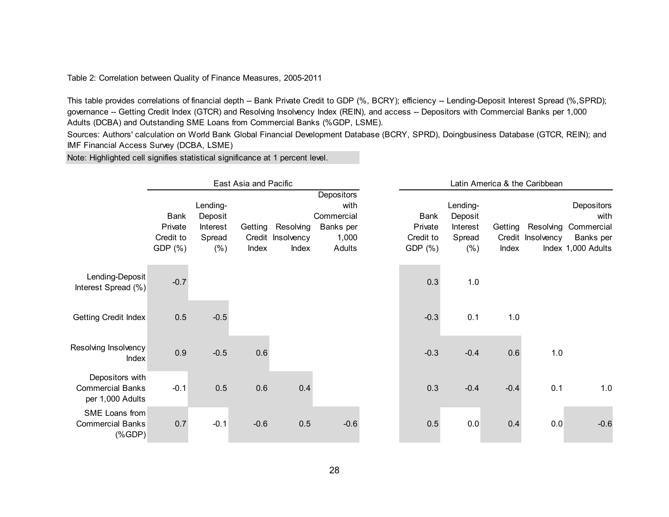Table 2: Correlation between Quality of Finance Measures, 2005-2011

This table provides correlations of financial depth -- Bank Private Credit to GDP (%, BCRY); efficiency -- Lending-Deposit Interest Spread (%, SPRD); governance -- Getting Credit Index (GTCR) and Resolving Insolvency Index (REIN), and access -- Depositors with Commercial Banks per 1,000 Adults (DCBA) and Outstanding SME Loans from Commercial Banks (%GDP, LSME).

Sources: Authors' calculation on World Bank Global Financial Development Database (BCRY, SPRD), Doingbusiness Database (GTCR, REIN); and IMF Financial Access Survey (DCBA, LSME)

Note: Highlighted cell signifies statistical significance at 1 percent level.

|                                                                          |                                                      |                  | East Asia and Pacific                   |                                                                         |                                                | Latin America & the Caribbean                        |                  |                   |                                                                               |        |  |  |
|--------------------------------------------------------------------------|------------------------------------------------------|------------------|-----------------------------------------|-------------------------------------------------------------------------|------------------------------------------------|------------------------------------------------------|------------------|-------------------|-------------------------------------------------------------------------------|--------|--|--|
|                                                                          | Lending-<br>Deposit<br>Interest<br>Spread<br>$(\% )$ | Getting<br>Index | Resolving<br>Credit Insolvency<br>Index | <b>Depositors</b><br>with<br>Commercial<br>Banks per<br>1,000<br>Adults | <b>Bank</b><br>Private<br>Credit to<br>GDP (%) | Lending-<br>Deposit<br>Interest<br>Spread<br>$(\% )$ | Getting<br>Index | Credit Insolvency | Depositors<br>with<br>Resolving Commercial<br>Banks per<br>Index 1,000 Adults |        |  |  |
| Lending-Deposit<br>Interest Spread (%)                                   | $-0.7$                                               |                  |                                         |                                                                         |                                                | 0.3                                                  | 1.0              |                   |                                                                               |        |  |  |
| <b>Getting Credit Index</b>                                              | 0.5                                                  | $-0.5$           |                                         |                                                                         |                                                | $-0.3$                                               | 0.1              | 1.0               |                                                                               |        |  |  |
| Resolving Insolvency<br>Index                                            | 0.9                                                  | $-0.5$           | 0.6                                     |                                                                         |                                                | $-0.3$                                               | $-0.4$           | 0.6               | 1.0                                                                           |        |  |  |
| Depositors with<br><b>Commercial Banks</b><br>per 1,000 Adults           | $-0.1$                                               | 0.5              | 0.6                                     | 0.4                                                                     |                                                | 0.3                                                  | $-0.4$           | $-0.4$            | 0.1                                                                           | 1.0    |  |  |
| SME Loans from<br><b>Commercial Banks</b><br>$(% )^{(1,0),(1,0)}$ (%GDP) | 0.7                                                  | $-0.1$           | $-0.6$                                  | 0.5                                                                     | $-0.6$                                         | 0.5                                                  | 0.0              | 0.4               | 0.0                                                                           | $-0.6$ |  |  |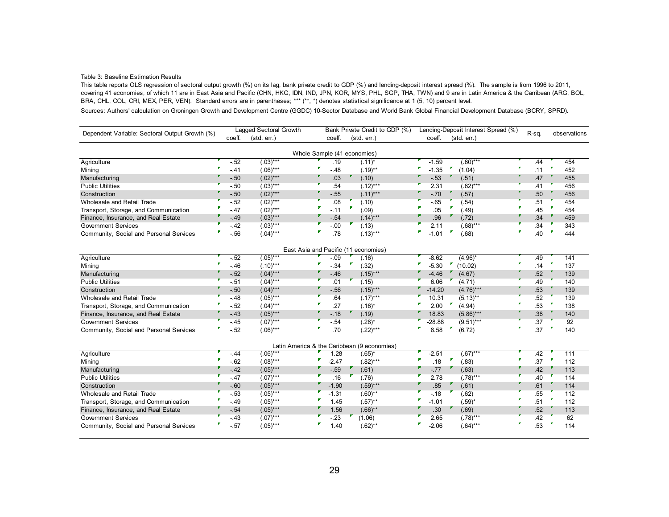#### Table 3: Baseline Estimation Results

This table reports OLS regression of sectoral output growth (%) on its lag, bank private credit to GDP (%) and lending-deposit interest spread (%). The sample is from 1996 to 2011, covering 41 economies, of which 11 are in East Asia and Pacific (CHN, HKG, IDN, IND, JPN, KOR, MYS, PHL, SGP, THA, TWN) and 9 are in Latin America & the Carribean (ARG, BOL, BRA, CHL, COL, CRI, MEX, PER, VEN). Standard errors are in parentheses; \*\*\* (\*\*, \*) denotes statistical significance at 1 (5, 10) percent level.

Sources: Authors' calculation on Groningen Growth and Development Centre (GGDC) 10-Sector Database and World Bank Global Financial Development Database (BCRY, SPRD).

| Dependent Variable: Sectoral Output Growth (%) |        | Lagged Sectoral Growth |                             | Bank Private Credit to GDP (%)       |         | Lending-Deposit Interest Spread (%) | R-sq. | observations |
|------------------------------------------------|--------|------------------------|-----------------------------|--------------------------------------|---------|-------------------------------------|-------|--------------|
|                                                | coeff. | (std. err.)            | coeff.                      | (std. err.)                          | coeff.  | (std. err.)                         |       |              |
|                                                |        |                        | Whole Sample (41 economies) |                                      |         |                                     |       |              |
| Agriculture                                    | $-.52$ | $(.03)***$             | . 19                        | $(.11)^*$                            | $-1.59$ | $(.60)$ ***                         | .44   | 454          |
| Mining                                         | $-.41$ | $(.06)$ ***            | $-.48$                      | $(.19)$ **                           | $-1.35$ | (1.04)                              | .11   | 452          |
| Manufacturing                                  | $-.50$ | $(.02)***$             | .03                         | (.10)                                | $-.53$  | (.51)                               | .47   | 455          |
| <b>Public Utilities</b>                        | $-.50$ | $(.03)***$             | .54                         | $(.12)***$                           | 2.31    | $(.62)***$                          | .41   | 456          |
| Construction                                   | $-.50$ | $(.02)***$             | $-.55$                      | $(.11)***$                           | $-.70$  | (.57)                               | .50   | 456          |
| Wholesale and Retail Trade                     | $-.52$ | $(.02)***$             | .08                         | (.10)                                | $-65$   | .54)                                | .51   | 454          |
| Transport, Storage, and Communication          | $-.47$ | $(.02)***$             | $-.11$                      | (.09)                                | .05     | (.49)                               | .45   | 454          |
| Finance, Insurance, and Real Estate            | $-.49$ | $(.03)***$             | $-.54$                      | $(.14)$ ***                          | .96     | (.72)                               | .34   | 459          |
| <b>Government Services</b>                     | $-.42$ | $(.03)***$             | $-.00$                      | (.13)                                | 2.11    | $(.68)***$                          | .34   | 343          |
| Community, Social and Personal Services        | $-56$  | $(.04)***$             | .78                         | $(.13)***$                           | $-1.01$ | .68)                                | .40   | 444          |
|                                                |        |                        |                             | East Asia and Pacific (11 economies) |         |                                     |       |              |
| Agriculture                                    | $-52$  | $(.05)***$             | $-.09$                      | (.16)                                | $-8.62$ | $(4.96)^*$                          | .49   | 141          |
|                                                |        |                        |                             | .                                    |         | _____ <b>__</b> _____               |       |              |

| $\sim$<br>.                                    |        | .            |            |                    |          | .            |     |     |  |
|------------------------------------------------|--------|--------------|------------|--------------------|----------|--------------|-----|-----|--|
| Mining                                         | $-46$  | $(0.10)$ *** | $-.34$     | .32                | $-5.30$  | (10.02)      | .14 | 137 |  |
| Manufacturing                                  | $-52$  | $(.04)***$   | $-.46$     | $(.15)$ ***        | $-4.46$  | (4.67)       | .52 | 139 |  |
| <b>Public Utilities</b>                        | $-.51$ | $(.04)***$   | .01        | (.15)              | 6.06     | (4.71)       | .49 | 140 |  |
| Construction                                   | $-50$  | $(.04)***$   | $-.56$     | $(.15)$ ***        | $-14.20$ | $(4.76)$ *** | .53 | 139 |  |
| Wholesale and Retail Trade                     | $-.48$ | $(.05)***$   | .64        | $(.17)***$         | 10.31    | $(5.13)$ **  | .52 | 139 |  |
| Transport, Storage, and Communication          | $-.52$ | $(.04)***$   | דר<br>ا ے. | $.16$ <sup>*</sup> | 2.00     | (4.94)       | .53 | 138 |  |
| Finance, Insurance, and Real Estate            | $-.43$ | $(.05)***$   | $-.18$     | (.19)              | 18.83    | $(5.86)$ *** | .38 | 140 |  |
| <b>Government Services</b>                     | $-.45$ | $(.07)$ ***  | $-.54$     | $(28)^*$           | $-28.88$ | $(9.51)$ *** | .37 | 92  |  |
| <b>Community, Social and Personal Services</b> | $-.52$ | $(.06)***$   |            | $(22)***$          | 8.58     | (6.72)       | .37 | 140 |  |

| Latin America & the Caribbean (9 economies) |  |         |            |  |         |                     |  |                  |            |  |                  |     |
|---------------------------------------------|--|---------|------------|--|---------|---------------------|--|------------------|------------|--|------------------|-----|
| Agriculture                                 |  | $-.44$  | $(.06)***$ |  | 1.28    | $.65$ <sup>*</sup>  |  | $-2.51$          | $(.67)***$ |  | 42               | 111 |
| Mining                                      |  | $-.62$  | $(.08)***$ |  | $-2.47$ | $(.82)***$          |  | .18              | .83)       |  | .37              | 112 |
| Manufacturing                               |  | $-.42$  | $(.05)***$ |  | $-.59$  | (.61)               |  | $-.77$           | (.63)      |  | .42 <sup>7</sup> | 113 |
| <b>Public Utilities</b>                     |  | $-.47$  | $(.07)***$ |  | .16     | (.76)               |  | 2.78             | $(.78)***$ |  | .40              | 114 |
| Construction                                |  | $-0.60$ | $(.05)***$ |  | $-1.90$ | $(.59)***$          |  | .85              | (.61)      |  | .61              | 114 |
| Wholesale and Retail Trade                  |  | $-.53$  | $(.05)***$ |  | $-1.31$ | $(0.60)$ **         |  | $-18$            | (.62)      |  | .55              | 112 |
| Transport, Storage, and Communication       |  | $-.49$  | $(.05)***$ |  | 1.45    | $(.57)$ **          |  | $-1.01$          | $.59)$ *   |  | .51              | 112 |
| Finance, Insurance, and Real Estate         |  | $-.54$  | $(.05)***$ |  | 1.56    | $(.66)$ **          |  | .30 <sub>2</sub> | (.69)      |  | .52              | 113 |
| <b>Government Services</b>                  |  | $-.43$  | $(.07)***$ |  | $-.23$  | (1.06)              |  | 2.65             | $(.78)***$ |  | 42               | 62  |
| Community, Social and Personal Services     |  | $-.57$  | $(.05)***$ |  | 1.40    | $.62$ <sup>**</sup> |  | $-2.06$          | $(.64)***$ |  | .53              | 114 |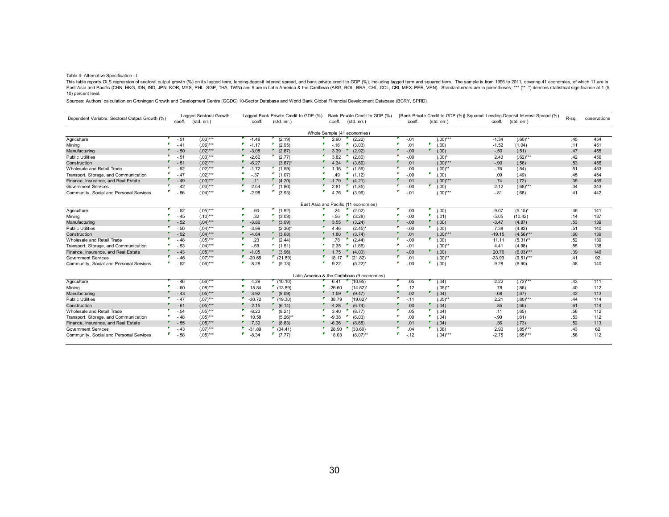Table 4: Alternative Specification - I

This table reports OLS regression of sectoral output growth (%) on its lagged term, lending-deposit interest spread, and bank private credit to GDP (%); including lagged term and squared term. The sample is from 1996 to 20 10) percent level.

Sources: Authors' calculation on Groningen Growth and Development Centre (GGDC) 10-Sector Database and World Bank Global Financial Development Database (BCRY, SPRD).

| Dependent Variable: Sectoral Output Growth (%) | <b>Lagged Sectoral Growth</b> |             | Lagged Bank Private Credit to GDP (%) |                       | Bank Private Credit to GDP (%) |                                             | [Bank Private Credit to GDP (%)] Squared Lending-Deposit Interest Spread (%) |             |          |             | R-sq. | observations |
|------------------------------------------------|-------------------------------|-------------|---------------------------------------|-----------------------|--------------------------------|---------------------------------------------|------------------------------------------------------------------------------|-------------|----------|-------------|-------|--------------|
|                                                | coeff.                        | (std. err.) | coeff                                 | (std. err.)           | coeff.                         | (std. err.)                                 | coeff.                                                                       | (std. err.) | coeff.   | (std. err.) |       |              |
|                                                |                               |             |                                       |                       |                                |                                             |                                                                              |             |          |             |       |              |
|                                                |                               |             |                                       |                       |                                | Whole Sample (41 economies)                 |                                                                              |             |          |             |       |              |
| Agriculture                                    | $-.51$                        | $(.03)***$  | $-1.46$                               | (2.19)                | 2.90                           | (2.22)                                      | $-.01$                                                                       | $(.00)$ *** | $-1.34$  | $(.60)$ **  | .45   | 454          |
| Mining                                         | $-.41$                        | $(.06)$ *** | $-1.17$                               | (2.95)                | $-16$                          | (3.03)                                      | .01                                                                          | P.<br>(.00) | $-1.52$  | (1.04)      | .11   | 451          |
| Manufacturing                                  | $-.50$                        | $(.02)$ *** | $-3.08$                               | (2.87)                | 3.39                           | (2.92)                                      | $-.00$                                                                       | (.00)       | $-.50$   | (.51)       | .47   | 455          |
| <b>Public Utilities</b>                        | $-.51$                        | $(.03)***$  | $-2.62$                               | (2.77)                | 3.82                           | (2.80)                                      | $-0.00$                                                                      | $(.00)^*$   | 2.43     | $(.62)***$  | .42   | 456          |
| Construction                                   | $-.51$                        | $(.02)$ *** | $-6.27$                               | $(3.67)^*$            | 4.34                           | (3.69)                                      | .01                                                                          | $(.00)$ *** | $-.90$   | (.56)       | .53   | 456          |
| Wholesale and Retail Trade                     | $-.52$                        | $(.02)***$  | $-1.72$                               | (1.59)                | 1.16                           | (1.59)                                      | .00                                                                          | $(.00)$ **  | $-.76$   | (.54)       | .51   | 453          |
| Transport, Storage, and Communication          | $-.47$                        | $(.02)***$  | $-0.37$                               | (1.07)                | .49                            | (1.12)                                      | $-0.00$                                                                      | P.<br>(.00) | .09      | (.49)       | .45   | 454          |
| Finance, Insurance, and Real Estate            | $-.49$                        | $(.03)$ *** | .11                                   | (4.20)                | $-1.79$                        | (4.21)                                      | .01                                                                          | $(.00)$ *** | .74      | (.72)       | .35   | 459          |
| <b>Government Services</b>                     | $-.42$                        | $(.03)***$  | $-2.54$                               | (1.80)                | 2.81                           | (1.85)                                      | $-.00$                                                                       | (.00)       | 2.12     | $(.68)***$  | .34   | 343          |
| Community, Social and Personal Services        | $-56$                         | $(.04)$ *** | $-2.98$                               | (3.93)                | 4.76                           | (3.96)                                      | $-.01$                                                                       | $(.00)$ *** | $-.81$   | (.68)       | .41   | 442          |
|                                                |                               |             |                                       |                       |                                |                                             |                                                                              |             |          |             |       |              |
|                                                |                               |             |                                       |                       |                                | East Asia and Pacific (11 economies)        |                                                                              |             |          |             |       |              |
| Agriculture                                    | $-.52$                        | $(.05)$ *** | $-60$                                 | (1.92)                | .24                            | (2.02)                                      | .00                                                                          | (.00)       | $-9.07$  | $(5.15)^*$  | .49   | 141          |
| Mining                                         | $-.45$                        | $(.10)$ *** | .32                                   | (3.03)                | $-56$                          | (3.28)                                      | $-.00$                                                                       | г<br>(.01)  | $-5.05$  | (10.42)     | .14   | 137          |
| Manufacturing                                  | $-.52$                        | $(.04)$ *** | $-3.86$                               | (3.09)                | 3.55                           | (3.24)                                      | $-.00$                                                                       | (.00)       | $-3.47$  | (4.87)      | .53   | 139          |
| <b>Public Utilities</b>                        | $-.50$                        | $(.04)***$  | $-3.99$                               | $(2.36)$ <sup>*</sup> | 4.46                           | $(2.45)$ *                                  | $-.00$                                                                       | (.00)       | 7.38     | (4.82)      | .51   | 140          |
| Construction                                   | $-.52$                        | $(.04)$ *** | $-4.64$                               | (3.68)                | 1.80                           | (3.74)                                      | .01                                                                          | $(.00)$ *** | $-19.15$ | $(4.56)***$ | .60   | 139          |
| Wholesale and Retail Trade                     | $-48$                         | $(.05)***$  | .23                                   | (2.44)                | .78                            | (2.44)                                      | $-0.00$                                                                      | (.00)       | 11.11    | $(5.31)$ ** | .52   | 139          |
| Transport, Storage, and Communication          | $-.53$                        | $(.04)$ *** | $-69$                                 | (1.51)                | 2.35                           | (1.65)                                      | $-.01$                                                                       | $(.00)$ **  | 4.41     | (4.98)      | .55   | 138          |
| Finance, Insurance, and Real Estate            | $-.43$                        | $(.05)***$  | $-1.05$                               | (3.96)                | 1.75                           | (4.00)                                      | $-0.00$                                                                      | (.00)       | 20.70    | $(6.03)***$ | .39   | 140          |
| <b>Government Services</b>                     | $-.46$                        | $(.07)$ *** | $-20.65$                              | (21.89)               | 18.17                          | (21.82)                                     | .01                                                                          | $(.00)$ **  | $-33.93$ | $(9.51)***$ | .41   | 92           |
| Community, Social and Personal Services        | $-.52$                        | $(.06)$ *** | $-8.28$                               | (5.13)                | 9.22                           | $(5.22)^*$                                  | $-.00$                                                                       | P.<br>(.00) | 9.28     | (6.90)      | .38   | 140          |
|                                                |                               |             |                                       |                       |                                |                                             |                                                                              |             |          |             |       |              |
|                                                |                               |             |                                       |                       |                                | Latin America & the Caribbean (9 economies) |                                                                              |             |          |             |       |              |
| Agriculture                                    | $-.46$                        | $(.06)$ *** | 4.29                                  | (10.10)               | $-6.41$                        | (10.95)                                     | .05                                                                          | (.04)       | $-2.22$  | $(.72)***$  | .43   | 111          |
| Mining                                         | $-0.60$                       | $(.08)$ *** | 15.84                                 | (13.89)               | $-26.60$                       | $(14.52)^*$                                 | .12                                                                          | $(.05)$ **  | .78      | (.86)       | .40   | 112          |
| Manufacturing                                  | $-.43$                        | $(.05)$ *** | $-3.92$                               | (9.09)                | 1.59                           | (9.47)                                      | .02                                                                          | (.04)       | $-.68$   | (.67)       | .42   | 113          |
| <b>Public Utilities</b>                        | $-.47$                        | $(.07)$ *** | $-30.72$                              | (19.30)               | 38.79                          | $(19.62)^*$                                 | $-.11$                                                                       | $(.05)$ **  | 2.21     | $(.80)***$  | .44   | 114          |
| Construction                                   | $-0.61$                       | $(.05)$ *** | 2.15                                  | (6.14)                | $-4.28$                        | (6.74)                                      | .00                                                                          | (.04)       | .85      | (.65)       | .61   | 114          |
| Wholesale and Retail Trade                     | $-.54$                        | $(.05)***$  | $-8.23$                               | (8.21)                | 3.40                           | (8.77)                                      | .05                                                                          | (.04)       | .11      | (.65)       | .56   | 112          |
| Transport, Storage, and Communication          | $-.48$                        | $(.05)***$  | 10.58                                 | $(5.26)$ **           | $-9.38$                        | (6.03)                                      | .00                                                                          | п<br>(.04)  | $-.90$   | (.61)       | .53   | 112          |
| Finance, Insurance, and Real Estate            | $-.55$                        | $(.05)$ *** | 7.30                                  | (8.83)                | $-6.36$                        | (8.68)                                      | .01                                                                          | г<br>(.04)  | .36      | (.73)       | .52   | 113          |
| <b>Government Services</b>                     | $-.43$                        | $(.07)$ *** | $-31.89$                              | (34.41)               | 28.90                          | (33.60)                                     | .04                                                                          | (.08)       | 2.90     | $(.85)***$  | .43   | 62           |
| Community, Social and Personal Services        | $-.58$                        | $(.05)***$  | $-8.34$                               | (7.77)                | 18.03                          | $(8.07)$ **                                 | $-.12$                                                                       | $(.04)***$  | $-2.75$  | $(.65)***$  | .58   | 112          |
|                                                |                               |             |                                       |                       |                                |                                             |                                                                              |             |          |             |       |              |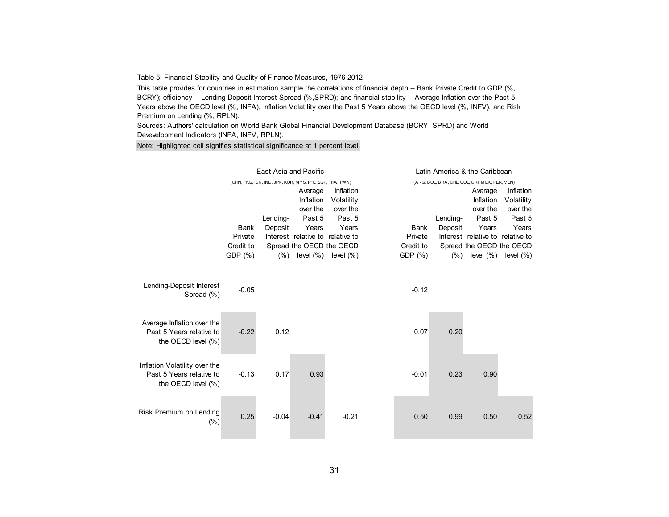Table 5: Financial Stability and Quality of Finance Measures, 1976-2012

This table provides for countries in estimation sample the correlations of financial depth -- Bank Private Credit to GDP (%, BCRY); efficiency -- Lending-Deposit Interest Spread (%, SPRD); and financial stability -- Average Inflation over the Past 5 Years above the OECD level (%, INFA), Inflation Volatility over the Past 5 Years above the OECD level (%, INFV), and Risk Premium on Lending (%, RPLN).

Sources: Authors' calculation on World Bank Global Financial Development Database (BCRY, SPRD) and World Devevelopment Indicators (INFA, INFV, RPLN).

Note: Highlighted cell signifies statistical significance at 1 percent level.

|                                                                                 |                                            | East Asia and Pacific       |                                                                                                                                                                                                |                                                                         | Latin America & the Caribbean<br>(ARG, BOL, BRA, CHL, COL, CRI, MEX, PER, VEN) |                                            |                             |                                                                                                                                      |                                                                        |  |  |
|---------------------------------------------------------------------------------|--------------------------------------------|-----------------------------|------------------------------------------------------------------------------------------------------------------------------------------------------------------------------------------------|-------------------------------------------------------------------------|--------------------------------------------------------------------------------|--------------------------------------------|-----------------------------|--------------------------------------------------------------------------------------------------------------------------------------|------------------------------------------------------------------------|--|--|
|                                                                                 | Bank<br>Private<br>Credit to<br>GDP $(\%)$ | Lending-<br>Deposit<br>(% ) | (CHN, HKG, IDN, IND, JPN, KOR, MYS, PHL, SGP, THA, TWN)<br>Average<br>Inflation<br>over the<br>Past 5<br>Years<br>Interest relative to relative to<br>Spread the OECD the OECD<br>level $(\%)$ | Inflation<br>Volatility<br>over the<br>Past 5<br>Years<br>level $(\% )$ |                                                                                | Bank<br>Private<br>Credit to<br>GDP $(\%)$ | Lending-<br>Deposit<br>(% ) | Average<br>Inflation<br>over the<br>Past 5<br>Years<br>Interest relative to relative to<br>Spread the OECD the OECD<br>level $(\% )$ | Inflation<br>Volatility<br>over the<br>Past 5<br>Years<br>level $(\%)$ |  |  |
| Lending-Deposit Interest<br>Spread (%)                                          | $-0.05$                                    |                             |                                                                                                                                                                                                |                                                                         |                                                                                | $-0.12$                                    |                             |                                                                                                                                      |                                                                        |  |  |
| Average Inflation over the<br>Past 5 Years relative to<br>the OECD level $(\%)$ | $-0.22$                                    | 0.12                        |                                                                                                                                                                                                |                                                                         |                                                                                | 0.07                                       | 0.20                        |                                                                                                                                      |                                                                        |  |  |
| Inflation Volatility over the<br>Past 5 Years relative to<br>the OECD level (%) | $-0.13$                                    | 0.17                        | 0.93                                                                                                                                                                                           |                                                                         |                                                                                | $-0.01$                                    | 0.23                        | 0.90                                                                                                                                 |                                                                        |  |  |
| Risk Premium on Lending<br>$(\%)$                                               | 0.25                                       | $-0.04$                     | $-0.41$                                                                                                                                                                                        | $-0.21$                                                                 |                                                                                | 0.50                                       | 0.99                        | 0.50                                                                                                                                 | 0.52                                                                   |  |  |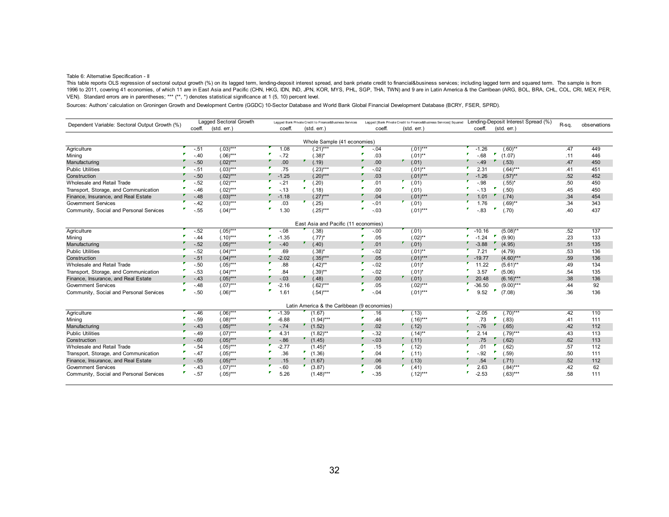#### Table 6: Alternative Specification - II

This table reports OLS regression of sectoral output growth (%) on its lagged term, lending-deposit interest spread, and bank private credit to financial&business services; including lagged term and squared term. The sampl 1996 to 2011, covering 41 economies, of which 11 are in East Asia and Pacific (CHN, HKG, IDN, IND, JPN, KOR, MYS, PHL, SGP, THA, TWN) and 9 are in Latin America & the Carribean (ARG, BOL, BRA, CHL, COL, CRI, MEX, PER, VEN). Standard errors are in parentheses; \*\*\* (\*\*, \*) denotes statistical significance at 1 (5, 10) percent level.

Sources: Authors' calculation on Groningen Growth and Development Centre (GGDC) 10-Sector Database and World Bank Global Financial Development Database (BCRY, FSER, SPRD).

| Dependent Variable: Sectoral Output Growth (%) | <b>Lagged Sectoral Growth</b> |             |         | Lagged Bank Private Credit to Finance&Business Services | Lagged [Bank Private Credit to Finance&Business Services] Squared |             |              | Lending-Deposit Interest Spread (%) |       | observations |
|------------------------------------------------|-------------------------------|-------------|---------|---------------------------------------------------------|-------------------------------------------------------------------|-------------|--------------|-------------------------------------|-------|--------------|
|                                                | coeff.                        | (std. err.) | coeff.  | (std. err.)                                             | coeff.                                                            | (std. err.) | coeff.       | (std. err.)                         | R-sq. |              |
|                                                |                               |             |         |                                                         |                                                                   |             |              |                                     |       |              |
|                                                |                               |             |         | Whole Sample (41 economies)                             |                                                                   |             |              |                                     |       |              |
| Agriculture                                    | $-.51$                        | $(.03)***$  | 1.08    | $(.21)***$                                              | $-.04$                                                            | $(.01)***$  | $-1.26$      | $(.60)$ **                          | .47   | 449          |
| Mining                                         | $-.40$                        | $(.06)***$  | $-.72$  | $(.38)^*$                                               | .03                                                               | $(.01)$ **  | $-68$        | г<br>(1.07)                         | .11   | 446          |
| Manufacturing                                  | $-.50$                        | $(.02)***$  | .00.    | (.19)                                                   | .00                                                               | (.01)       | $-.49$       | (.53)                               | .47   | 450          |
| <b>Public Utilities</b>                        | $-.51$                        | $(.03)***$  | .75     | $(.23)***$                                              | $-.02$                                                            | $(.01)$ **  | 2.31         | $(.64)***$                          | .41   | 451          |
| Construction                                   | $-.50$                        | $(.02)***$  | $-1.25$ | $(.20)$ ***                                             | .03                                                               | $(.01)***$  | $-1.26$      | $(.57)$ **                          | .52   | 452          |
| Wholesale and Retail Trade                     | $-.52$                        | $(.02)***$  | $-.21$  | (.20)                                                   | .01                                                               | (.01)       | $-.98$       | $(.55)^*$                           | .50   | 450          |
| Transport, Storage, and Communication          | $-.46$                        | $(.02)***$  | $-13$   | ×<br>(.18)                                              | .00                                                               | г<br>(.01)  | $-13$        | (.50)                               | .45   | 450          |
| Finance, Insurance, and Real Estate            | $-.48$                        | $(.03)***$  | $-1.18$ | $(.27)***$                                              | .04                                                               | $(.01)***$  | 1.01         | (.74)                               | .34   | 454          |
| <b>Government Services</b>                     | $-.42$                        | $(.03)***$  | .03     | (.25)                                                   | $-.01$                                                            | (.01)       | 1.76         | $(.69)$ **                          | .34   | 343          |
| Community, Social and Personal Services        | $-.55$                        | $(.04)***$  | 1.30    | $(.25)***$                                              | $-.03$                                                            | $(.01)***$  | ×<br>$-0.83$ | -<br>(.70)                          | .40   | 437          |
|                                                |                               |             |         |                                                         |                                                                   |             |              |                                     |       |              |
|                                                |                               |             |         | East Asia and Pacific (11 economies)                    |                                                                   |             |              |                                     |       |              |
| Agriculture                                    | $-.52$                        | $(.05)***$  | $-.08$  | (.38)                                                   | $-.00$                                                            | (.01)       | $-10.16$     | $(5.08)$ **                         | .52   | 137          |
| Mining                                         | $-.44$                        | $(.10)$ *** | $-1.35$ | $(.77)$ <sup>*</sup>                                    | .05                                                               | $(.02)$ **  | $-1.24$      | (9.90)                              | .23   | 133          |
| Manufacturing                                  | $-.52$                        | $(.05)***$  | $-.40$  | (.40)                                                   | .01                                                               | (.01)       | $-3.88$      | (4.95)                              | .51   | 135          |
| <b>Public Utilities</b>                        | $-.52$                        | $(.04)***$  | .69     | $(.38)^*$                                               | $-.02$                                                            | $(.01)$ **  | 7.21         | (4.79)                              | .53   | 136          |
| Construction                                   | $-.51$                        | $(.04)***$  | $-2.02$ | $(.35)***$                                              | .05                                                               | $(.01)$ *** | $-19.77$     | $(4.60)$ ***                        | .59   | 136          |
| Wholesale and Retail Trade                     | $-.50$                        | $(.05)***$  | .88     | $(.42)$ **                                              | $-.02$                                                            | $(.01)^*$   | 11.22        | $(5.61)$ **                         | .49   | 134          |
| Transport, Storage, and Communication          | $-.53$                        | $(.04)***$  | .84     | $(.39)$ **                                              | $-0.02$                                                           | $(.01)^*$   | 3.57         | <b>P</b><br>(5.06)                  | .54   | 135          |
| Finance, Insurance, and Real Estate            | $-.43$                        | $(.05)***$  | $-.03$  | (.48)                                                   | .00                                                               | (.01)       | 20.48        | $(6.16)***$                         | .38   | 136          |
| <b>Government Services</b>                     | $-.48$                        | $(.07)***$  | $-2.16$ | $(.62)***$                                              | .05                                                               | $(.02)***$  | $-36.50$     | $(9.00)***$                         | .44   | 92           |
| Community, Social and Personal Services        | $-.50$                        | $(.06)***$  | 1.61    | $(.54)***$                                              | $-.04$                                                            | $(.01)***$  | π<br>9.52    | ×<br>(7.08)                         | .36   | 136          |
|                                                |                               |             |         |                                                         |                                                                   |             |              |                                     |       |              |
|                                                |                               |             |         | Latin America & the Caribbean (9 economies)             |                                                                   |             |              |                                     |       |              |
| Agriculture                                    | $-.46$                        | $(.06)$ *** | $-1.39$ | (1.67)                                                  | .16                                                               | (.13)       | $-2.05$      | $(.70)$ ***                         | .42   | 110          |
| Mining                                         | $-.59$                        | $(.08)***$  | $-6.88$ | $(1.94)***$                                             | .46                                                               | $(.16)***$  | .73          | P<br>(.83)                          | .41   | 111          |
| Manufacturing                                  | $-.43$                        | $(.05)***$  | $-.74$  | (1.52)                                                  | .02                                                               | (.12)       | $-76$        | (.65)                               | .42   | 112          |
| <b>Public Utilities</b>                        | $-.49$                        | $(.07)***$  | 4.31    | $(1.82)$ **                                             | $-.32$                                                            | $(.14)$ **  | 2.14         | $(.79)***$                          | .43   | 113          |
| Construction                                   | $-.60$                        | $(.05)***$  | $-.86$  | (1.45)                                                  | $-.03$                                                            | (.11)       | .75          | (.62)                               | .62   | 113          |
| Wholesale and Retail Trade                     | $-.54$                        | $(.05)***$  | $-2.77$ | $(1.45)^*$                                              | .15                                                               | (.12)       | .01          | (.62)                               | .57   | 112          |
| Transport, Storage, and Communication          | $-.47$                        | $(.05)***$  | .36     | ×<br>(1.36)                                             | .04                                                               | (.11)       | $-.92$       | (.59)                               | .50   | 111          |
| Finance, Insurance, and Real Estate            | $-.55$                        | $(.05)***$  | .15     | (1.67)                                                  | .06                                                               | (.13)       | .54          | (.71)                               | .52   | 112          |
| <b>Government Services</b>                     | $-.43$                        | $(.07)***$  | $-.60$  | (3.87)                                                  | .06                                                               | (.41)       | 2.63         | $(.84)***$                          | .42   | 62           |
| Community, Social and Personal Services        | $-.57$                        | $(.05)***$  | 5.26    | $(1.48)***$                                             | $-.35$                                                            | $(.12)***$  | $-2.53$      | $(.63)***$                          | .58   | 111          |
|                                                |                               |             |         |                                                         |                                                                   |             |              |                                     |       |              |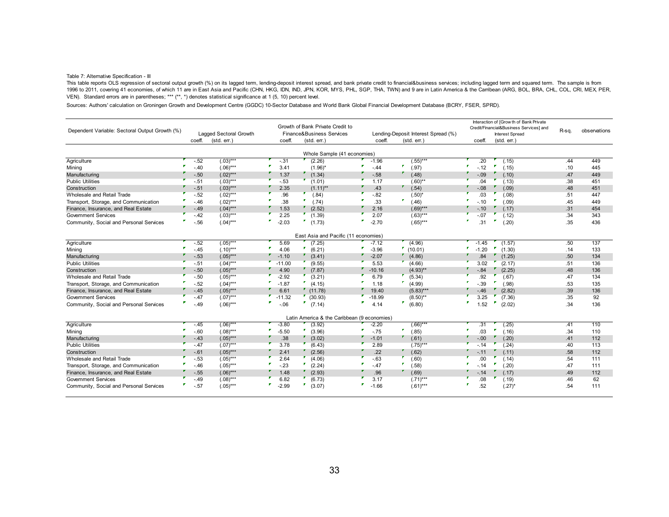#### Table 7: Alternative Specification - III

This table reports OLS regression of sectoral output growth (%) on its lagged term, lending-deposit interest spread, and bank private credit to financial&business services; including lagged term and squared term. The sampl 1996 to 2011, covering 41 economies, of which 11 are in East Asia and Pacific (CHN, HKG, IDN, IND, JPN, KOR, MYS, PHL, SGP, THA, TWN) and 9 are in Latin America & the Carribean (ARG, BOL, BRA, CHL, COL, CRI, MEX, PER, VEN). Standard errors are in parentheses; \*\*\* (\*\*, \*) denotes statistical significance at 1 (5, 10) percent level.

Sources: Authors' calculation on Groningen Growth and Development Centre (GGDC) 10-Sector Database and World Bank Global Financial Development Database (BCRY, FSER, SPRD).

| Dependent Variable: Sectoral Output Growth (%) | Lagged Sectoral Growth |             |          | Growth of Bank Private Credit to<br><b>Finance&amp;Business Services</b> |              | Lending-Deposit Interest Spread (%) |           | Interaction of [Grow th of Bank Private<br>Credit/Financial&Business Services] and<br><b>Interest Spread</b> | R-sa. | observations |
|------------------------------------------------|------------------------|-------------|----------|--------------------------------------------------------------------------|--------------|-------------------------------------|-----------|--------------------------------------------------------------------------------------------------------------|-------|--------------|
|                                                | coeff.                 | (std. err.) | coeff.   | (std. err.)                                                              | coeff.       | (std. err.)                         | coeff.    | (std. err.)                                                                                                  |       |              |
|                                                |                        |             |          |                                                                          |              |                                     |           |                                                                                                              |       |              |
|                                                |                        |             |          | Whole Sample (41 economies)                                              |              |                                     |           |                                                                                                              |       |              |
| Agriculture                                    | $-.52$                 | $(.03)***$  | $-31$    | (2.26)                                                                   | $-1.96$      | $(.55)***$                          | .20       | (.15)                                                                                                        | .44   | 449          |
| Mining                                         | $-.40$                 | $(.06)***$  | 3.41     | $(1.96)^*$                                                               | $-.44$       | F<br>(.97)                          | $-12$     | F<br>(.15)                                                                                                   | .10   | 445          |
| Manufacturing                                  | $-.50$                 | $(.02)***$  | 1.37     | (1.34)                                                                   | $-.58$       | (.48)                               | $-.09$    | (.10)                                                                                                        | .47   | 449          |
| <b>Public Utilities</b>                        | $-.51$                 | $(.03)***$  | $-.53$   | (1.01)                                                                   | 1.17         | $(.60)$ **                          | .04       | (.13)                                                                                                        | .38   | 451          |
| Construction                                   | $-.51$                 | $(.03)***$  | 2.35     | $(1.11)$ **                                                              | .43          | (.54)                               | $-.08$    | (.09)                                                                                                        | .48   | 451          |
| Wholesale and Retail Trade                     | $-.52$                 | $(.02)***$  | .96      | (.84)                                                                    | $-82$        | $(.50)^*$                           | .03       | (.08)                                                                                                        | .51   | 447          |
| Transport, Storage, and Communication          | $-.46$                 | $(.02)***$  | .38      | (.74)                                                                    | .33          | Р<br>(.46)                          | $-.10$    | (.09)                                                                                                        | .45   | 449          |
| Finance, Insurance, and Real Estate            | $-.49$                 | $(.04)***$  | 1.53     | (2.52)                                                                   | 2.16         | $(.69)***$                          | $-.10$    | (.17)                                                                                                        | .31   | 454          |
| <b>Government Services</b>                     | $-.42$                 | $(.03)***$  | 2.25     | (1.39)                                                                   | 2.07         | $(.63)***$                          | $-.07$    | (.12)                                                                                                        | .34   | 343          |
| Community, Social and Personal Services        | $-.56$                 | $(.04)***$  | $-2.03$  | $\blacksquare$ (1.73)                                                    | Е<br>$-2.70$ | $(.65)***$                          | ×<br>.31  | ×<br>(.20)                                                                                                   | .35   | 436          |
|                                                |                        |             |          |                                                                          |              |                                     |           |                                                                                                              |       |              |
|                                                |                        |             |          | East Asia and Pacific (11 economies)                                     |              |                                     |           |                                                                                                              |       |              |
| Agriculture                                    | $-.52$                 | $(.05)***$  | 5.69     | (7.25)                                                                   | $-7.12$      | (4.96)                              | $-1.45$   | (1.57)                                                                                                       | .50   | 137          |
| Mining                                         | $-.45$                 | $(.10)$ *** | 4.06     | (6.21)                                                                   | $-3.96$      | P<br>(10.01)                        | $-1.20$   | г<br>(1.30)                                                                                                  | .14   | 133          |
| Manufacturing                                  | $-.53$                 | $(.05)***$  | $-1.10$  | ×<br>(3.41)                                                              | $-2.07$      | (4.86)                              | .84       | (1.25)                                                                                                       | .50   | 134          |
| <b>Public Utilities</b>                        | $-.51$                 | $(.04)***$  | $-11.00$ | (9.55)                                                                   | 5.53         | (4.66)                              | 3.02      | (2.17)                                                                                                       | .51   | 136          |
| Construction                                   | $-.50$                 | $(.05)***$  | 4.90     | (7.87)                                                                   | $-10.16$     | $(4.93)$ **                         | $-.84$    | (2.25)                                                                                                       | .48   | 136          |
| Wholesale and Retail Trade                     | $-.50$                 | $(.05)***$  | $-2.92$  | (3.21)                                                                   | 6.79         | (5.34)                              | .92       | (.67)                                                                                                        | .47   | 134          |
| Transport, Storage, and Communication          | $-.52$                 | $(.04)***$  | $-1.87$  | (4.15)                                                                   | 1.18         | F<br>(4.99)                         | $-39$     | (.98)                                                                                                        | .53   | 135          |
| Finance, Insurance, and Real Estate            | $-.45$                 | $(.05)***$  | 6.61     | (11.78)                                                                  | 19.40        | $(5.83)***$                         | $-.46$    | (2.82)                                                                                                       | .39   | 136          |
| <b>Government Services</b>                     | $-.47$                 | $(.07)$ *** | $-11.32$ | (30.93)                                                                  | $-18.99$     | $(8.50)$ **                         | 3.25      | (7.36)                                                                                                       | .35   | 92           |
| Community, Social and Personal Services        | $-.49$                 | $(.06)***$  | $-0.06$  | ж.<br>(7.14)                                                             | п<br>4.14    | P.<br>(6.80)                        | ×<br>1.52 | v<br>(2.02)                                                                                                  | .34   | 136          |
|                                                |                        |             |          |                                                                          |              |                                     |           |                                                                                                              |       |              |
|                                                |                        |             |          | Latin America & the Caribbean (9 economies)                              |              |                                     |           |                                                                                                              |       |              |
| Agriculture                                    | $-45$                  | $(.06)$ *** | $-3.80$  | (3.92)                                                                   | $-2.20$      | $(.66)***$                          | .31       | (.25)                                                                                                        | .41   | 110          |
| Mining                                         | $-.60$                 | $(.08)***$  | $-5.50$  | (3.96)                                                                   | $-75$        | P.<br>(.85)                         | .03       | (.16)                                                                                                        | .34   | 110          |
| Manufacturing                                  | $-.43$                 | $(.05)***$  | .38      | 7<br>(3.02)                                                              | $-1.01$      | ₽<br>(.61)                          | $-0.00$   | (.20)                                                                                                        | .41   | 112          |
| <b>Public Utilities</b>                        | $-.47$                 | $(.07)***$  | 3.78     | (6.43)                                                                   | 2.89         | $(.75)***$                          | $-.14$    | (.24)                                                                                                        | .40   | 113          |
| Construction                                   | $-.61$                 | $(.05)***$  | 2.41     | ₩.<br>(2.56)                                                             | .22          | ₽<br>(.62)                          | $-.11$    | (.11)                                                                                                        | .58   | 112          |
| Wholesale and Retail Trade                     | $-.53$                 | $(.05)***$  | 2.64     | (4.06)                                                                   | $-63$        | (.60)                               | .00       | (.14)                                                                                                        | .54   | 111          |
| Transport, Storage, and Communication          | $-.46$                 | $(.05)***$  | $-23$    | ×<br>(2.24)                                                              | $-.47$       | (.58)                               | $-.14$    | (.20)                                                                                                        | .47   | 111          |
| Finance, Insurance, and Real Estate            | $-.55$                 | $(.06)***$  | 1.48     | (2.93)                                                                   | .96          | (.69)                               | $-.14$    | (.17)                                                                                                        | .49   | 112          |
| <b>Government Services</b>                     | $-.49$                 | $(.08)***$  | 6.82     | (6.73)                                                                   | 3.17         | $(.71)***$                          | .08       | (.19)                                                                                                        | .46   | 62           |
| Community, Social and Personal Services        | $-.57$                 | $(.05)***$  | $-2.99$  | (3.07)                                                                   | $-1.66$      | $(.61)***$                          | Б<br>52   | $(.27)^*$                                                                                                    | .54   | 111          |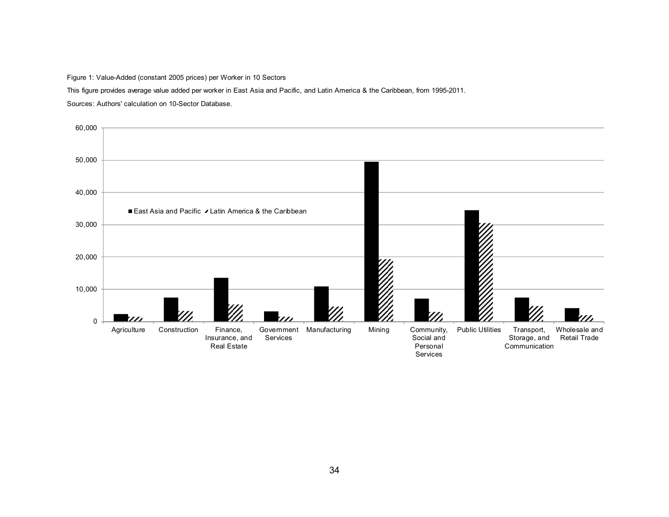Figure 1: Value-Added (constant 2005 prices) per Worker in 10 Sectors

This figure provides average value added per worker in East Asia and Pacific, and Latin America & the Caribbean, from 1995-2011.

Sources: Authors' calculation on 10-Sector Database.

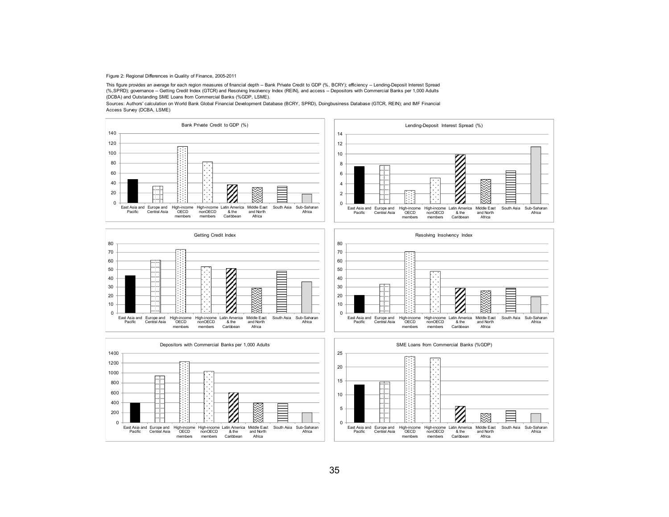Figure 2: Regional Differences in Quality of Finance, 2005-2011

This figure provides an average for each region measures of financial depth – Bank Private Credit to GDP (%, BCRY); efficiency – Lending-Deposit Interest Spread<br>(%,SPRD); governance -- Getting Credit Index (GTCR) and Reso (DCBA) and Outstanding SME Loans from Commercial Banks (%GDP, LSME).

Sources: Authors' calculation on World Bank Global Financial Development Database (BCRY, SPRD), Doingbusiness Database (GTCR, REIN); and IMF Financial Access Survey (DCBA, LSME)

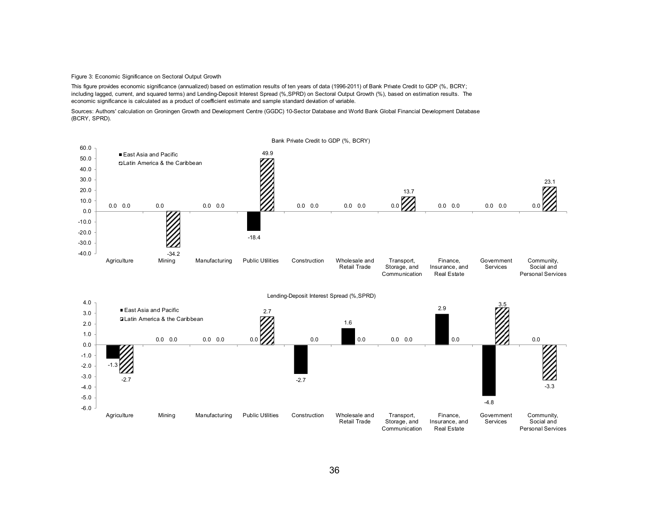Figure 3: Economic Significance on Sectoral Output Growth

This figure provides economic significance (annualized) based on estimation results of ten years of data (1996-2011) of Bank Private Credit to GDP (%, BCRY; including lagged, current, and squared terms) and Lending-Deposit Interest Spread (%,SPRD) on Sectoral Output Growth (%), based on estimation results. The economic significance is calculated as a product of coefficient estimate and sample standard deviation of variable.

Sources: Authors' calculation on Groningen Growth and Development Centre (GGDC) 10-Sector Database and World Bank Global Financial Development Database (BCRY, SPRD).